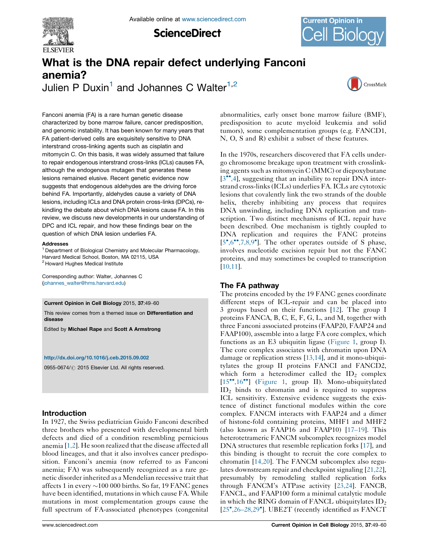

**ScienceDirect** 



# What is the DNA repair defect underlying Fanconi anemia? Julien P Duxin<sup>1</sup> and Johannes C Walter<sup>1,2</sup>



Fanconi anemia (FA) is a rare human genetic disease characterized by bone marrow failure, cancer predisposition, and genomic instability. It has been known for many years that FA patient-derived cells are exquisitely sensitive to DNA interstrand cross-linking agents such as cisplatin and mitomycin C. On this basis, it was widely assumed that failure to repair endogenous interstrand cross-links (ICLs) causes FA, although the endogenous mutagen that generates these lesions remained elusive. Recent genetic evidence now suggests that endogenous aldehydes are the driving force behind FA. Importantly, aldehydes cause a variety of DNA lesions, including ICLs and DNA protein cross-links (DPCs), rekindling the debate about which DNA lesions cause FA. In this review, we discuss new developments in our understanding of DPC and ICL repair, and how these findings bear on the question of which DNA lesion underlies FA.

#### Addresses

<sup>1</sup> Department of Biological Chemistry and Molecular Pharmacology, Harvard Medical School, Boston, MA 02115, USA <sup>2</sup> Howard Hughes Medical Institute

Corresponding author: Walter, Johannes C ([johannes\\_walter@hms.harvard.edu\)](mailto:johannes_walter@hms.harvard.edu)

#### Current Opinion in Cell Biology 2015, 37:49–60

This review comes from a themed issue on Differentiation and disease

Edited by Michael Rape and Scott A Armstrong

#### <http://dx.doi.org/10.1016/j.ceb.2015.09.002>

0955-0674/ 2015 Elsevier Ltd. All rights reserved.

# Introduction

In 1927, the Swiss pediatrician Guido Fanconi described three brothers who presented with developmental birth defects and died of a condition resembling pernicious anemia [[1,2](#page-7-0)]. He soon realized that the disease affected all blood lineages, and that it also involves cancer predisposition. Fanconi's anemia (now referred to as Fanconi anemia; FA) was subsequently recognized as a rare genetic disorder inherited as a Mendelian recessive trait that affects 1 in every  ${\sim}100\ 000$  births. So far, 19 FANC genes have been identified, mutations in which cause FA. While mutations in most complementation groups cause the full spectrum of FA-associated phenotypes (congenital abnormalities, early onset bone marrow failure (BMF), predisposition to acute myeloid leukemia and solid tumors), some complementation groups (e.g. FANCD1, N, O, S and R) exhibit a subset of these features.

In the 1970s, researchers discovered that FA cells undergo chromosome breakage upon treatment with crosslinking agents such as mitomycin C (MMC) or diepoxybutane  $[3^{\bullet\bullet}, 4]$  $[3^{\bullet\bullet}, 4]$  $[3^{\bullet\bullet}, 4]$ , suggesting that an inability to repair DNA interstrand cross-links (ICLs) underlies FA. ICLs are cytotoxic lesions that covalently link the two strands of the double helix, thereby inhibiting any process that requires DNA unwinding, including DNA replication and transcription. Two distinct mechanisms of ICL repair have been described. One mechanism is tightly coupled to DNA replication and requires the FANC proteins  $[5^{\bullet},6^{\bullet\bullet},7,8,9^{\bullet}]$  $[5^{\bullet},6^{\bullet\bullet},7,8,9^{\bullet}]$  $[5^{\bullet},6^{\bullet\bullet},7,8,9^{\bullet}]$  $[5^{\bullet},6^{\bullet\bullet},7,8,9^{\bullet}]$  $[5^{\bullet},6^{\bullet\bullet},7,8,9^{\bullet}]$  $[5^{\bullet},6^{\bullet\bullet},7,8,9^{\bullet}]$  $[5^{\bullet},6^{\bullet\bullet},7,8,9^{\bullet}]$ . The other operates outside of S phase, involves nucleotide excision repair but not the FANC proteins, and may sometimes be coupled to transcription [[10,11\]](#page-7-0).

# The FA pathway

The proteins encoded by the 19 FANC genes coordinate different steps of ICL-repair and can be placed into 3 groups based on their functions [\[12](#page-7-0)]. The group I proteins FANCA, B, C, E, F, G, L, and M, together with three Fanconi associated proteins (FAAP20, FAAP24 and FAAP100), assemble into a large FA core complex, which functions as an E3 ubiquitin ligase [\(Figure](#page-1-0) 1, group I). The core complex associates with chromatin upon DNA damage or replication stress [\[13,14](#page-7-0)], and it mono-ubiquitylates the group II proteins FANCI and FANCD2, which form a heterodimer called the  $ID_2$  complex [[15](#page-7-0)<sup>\*\*</sup>[,16](#page-7-0)<sup>\*\*</sup>] [\(Figure](#page-1-0) 1, group II). Mono-ubiquitylated  $ID<sub>2</sub>$  binds to chromatin and is required to suppress ICL sensitivity. Extensive evidence suggests the existence of distinct functional modules within the core complex. FANCM interacts with FAAP24 and a dimer of histone-fold containing proteins, MHF1 and MHF2 (also known as FAAP16 and FAAP10) [\[17](#page-7-0)–19]. This heterotetrameric FANCM subcomplex recognizes model DNA structures that resemble replication forks [\[17](#page-7-0)], and this binding is thought to recruit the core complex to chromatin [[14,20](#page-7-0)]. The FANCM subcomplex also regulates downstream repair and checkpoint signaling [\[21,22\]](#page-8-0), presumably by remodeling stalled replication forks through FANCM's ATPase activity [[23,24](#page-8-0)]. FANCB, FANCL, and FAAP100 form a minimal catalytic module in which the RING domain of FANCL ubiquitylates  $ID_2$ [[25](#page-8-0) ,26–[28,29](#page-8-0) ]. UBE2T (recently identified as FANCT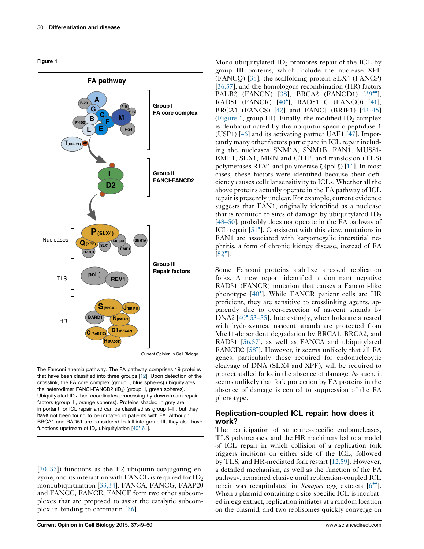<span id="page-1-0"></span>



The Fanconi anemia pathway. The FA pathway comprises 19 proteins that have been classified into three groups [[12](#page-7-0)]. Upon detection of the crosslink, the FA core complex (group I, blue spheres) ubiquitylates the heterodimer FANCI-FANCD2 (ID<sub>2</sub>) (group II, green spheres). Ubiquitylated  $ID<sub>2</sub>$  then coordinates processing by downstream repair factors (group III, orange spheres). Proteins shaded in grey are important for ICL repair and can be classified as group I–III, but they have not been found to be mutated in patients with FA. Although BRCA1 and RAD51 are considered to fall into group III, they also have functions upstream of  $ID_2$  ubiquitylation  $[40^{\circ},61]$  $[40^{\circ},61]$  $[40^{\circ},61]$  $[40^{\circ},61]$  $[40^{\circ},61]$ .

[\[30](#page-8-0)–32]) functions as the E2 ubiquitin-conjugating enzyme, and its interaction with FANCL is required for  $ID_2$ monoubiquitination [\[33,34\]](#page-8-0). FANCA, FANCG, FAAP20 and FANCC, FANCE, FANCF form two other subcomplexes that are proposed to assist the catalytic subcomplex in binding to chromatin [\[26](#page-8-0)].

Mono-ubiquitylated  $ID_2$  promotes repair of the ICL by group III proteins, which include the nuclease XPF (FANCQ) [\[35](#page-8-0)], the scaffolding protein SLX4 (FANCP) [\[36,37\]](#page-8-0), and the homologous recombination (HR) factors PALB2 (FANCN) [[38\]](#page-8-0), BRCA2 (FANCD1) [\[39](#page-8-0)<sup> $\bullet$ °</sup>], RAD51 (FANCR) [[40](#page-8-0) ], RAD51 C (FANCO) [[41](#page-8-0)], BRCA1 (FANCS) [[42\]](#page-8-0) and FANCJ (BRIP1) [\[43](#page-8-0)-45] (Figure 1, group III). Finally, the modified  $ID_2$  complex is deubiquitinated by the ubiquitin specific peptidase 1 (USP1) [\[46](#page-8-0)] and its activating partner UAF1 [[47\]](#page-8-0). Importantly many other factors participate in ICL repair including the nucleases SNM1A, SNM1B, FAN1, MUS81- EME1, SLX1, MRN and CTIP, and translesion (TLS) polymerases REV1 and polymerase  $\zeta$  (pol  $\zeta$ ) [\[11](#page-7-0)]. In most cases, these factors were identified because their deficiency causes cellular sensitivity to ICLs. Whether all the above proteins actually operate in the FA pathway of ICL repair is presently unclear. For example, current evidence suggests that FAN1, originally identified as a nuclease that is recruited to sites of damage by ubiquitylated  $ID_2$ [\[48](#page-8-0)–50], probably does not operate in the FA pathway of ICL repair [[51](#page-9-0)<sup>°</sup>]. Consistent with this view, mutations in FAN1 are associated with karyomegalic interstitial nephritis, a form of chronic kidney disease, instead of FA  $[52^{\circ}].$  $[52^{\circ}].$ 

Some Fanconi proteins stabilize stressed replication forks. A new report identified a dominant negative RAD51 (FANCR) mutation that causes a Fanconi-like phenotype [[40](#page-8-0)<sup>°</sup>]. While FANCR patient cells are HR proficient, they are sensitive to crosslinking agents, apparently due to over-resection of nascent strands by DNA2 [\[40](#page-8-0) [,53](#page-8-0)–55]. Interestingly, when forks are arrested with hydroxyurea, nascent strands are protected from Mre11-dependent degradation by BRCA1, BRCA2, and RAD51 [\[56,57\]](#page-9-0), as well as FANCA and ubiquitylated FANCD2 [[58](#page-9-0)<sup>°</sup>]. However, it seems unlikely that all FA genes, particularly those required for endonucleoytic cleavage of DNA (SLX4 and XPF), will be required to protect stalled forks in the absence of damage. As such, it seems unlikely that fork protection by FA proteins in the absence of damage is central to suppression of the FA phenotype.

# Replication-coupled ICL repair: how does it work?

The participation of structure-specific endonucleases, TLS polymerases, and the HR machinery led to a model of ICL repair in which collision of a replication fork triggers incisions on either side of the ICL, followed by TLS, and HR-mediated fork restart [[12,59\]](#page-7-0). However, a detailed mechanism, as well as the function of the FA pathway, remained elusive until replication-coupled ICL repair was recapitulated in Xenopus egg extracts  $[6\text{''}].$  $[6\text{''}].$ When a plasmid containing a site-specific ICL is incubated in egg extract, replication initiates at a random location on the plasmid, and two replisomes quickly converge on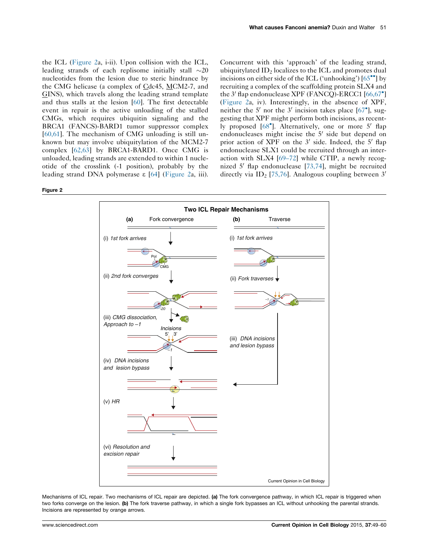<span id="page-2-0"></span>the ICL (Figure 2a, i-ii). Upon collision with the ICL, leading strands of each replisome initially stall  $\sim$ 20 nucleotides from the lesion due to steric hindrance by the CMG helicase (a complex of Cdc45, MCM2-7, and GINS), which travels along the leading strand template and thus stalls at the lesion [[60\]](#page-9-0). The first detectable event in repair is the active unloading of the stalled CMGs, which requires ubiquitin signaling and the BRCA1 (FANCS)-BARD1 tumor suppressor complex [\[60,61\]](#page-9-0). The mechanism of CMG unloading is still unknown but may involve ubiquitylation of the MCM2-7 complex [[62,63](#page-9-0)] by BRCA1-BARD1. Once CMG is unloaded, leading strands are extended to within 1 nucleotide of the crosslink (-1 position), probably by the leading strand DNA polymerase  $\epsilon$  [[64\]](#page-9-0) (Figure 2a, iii). Concurrent with this 'approach' of the leading strand, ubiquitylated  $ID_2$  localizes to the ICL and promotes dual incisions on either side of the ICL ('unhooking')  $[65\text{''}]$  $[65\text{''}]$  by recruiting a complex of the scaffolding protein SLX4 and the 3' flap endonuclease XPF (FANCQ)-ERCC1 [[66,67](#page-9-0)<sup>°</sup>] (Figure 2a, iv). Interestingly, in the absence of XPF, neither the 5' nor the 3' incision takes place  $[67^{\circ}]$  $[67^{\circ}]$  $[67^{\circ}]$ , suggesting that XPF might perform both incisions, as recent-ly proposed [\[68](#page-9-0)<sup>°</sup>]. Alternatively, one or more 5' flap endonucleases might incise the  $5'$  side but depend on prior action of XPF on the  $3'$  side. Indeed, the  $5'$  flap endonuclease SLX1 could be recruited through an interaction with SLX4 [69–[72\]](#page-9-0) while CTIP, a newly recognized 5' flap endonuclease  $[73,74]$ , might be recruited directly via  $ID_2$  [\[75,76\]](#page-9-0). Analogous coupling between 3'

#### Figure 2



Mechanisms of ICL repair. Two mechanisms of ICL repair are depicted. (a) The fork convergence pathway, in which ICL repair is triggered when two forks converge on the lesion. (b) The fork traverse pathway, in which a single fork bypasses an ICL without unhooking the parental strands. Incisions are represented by orange arrows.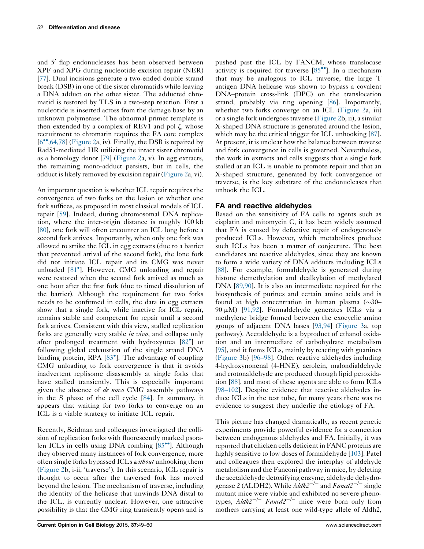## and 5' flap endonucleases has been observed between XPF and XPG during nucleotide excision repair (NER) [\[77](#page-9-0)]. Dual incisions generate a two-ended double strand break (DSB) in one of the sister chromatids while leaving a DNA adduct on the other sister. The adducted chromatid is restored by TLS in a two-step reaction. First a nucleotide is inserted across from the damage base by an unknown polymerase. The abnormal primer template is then extended by a complex of REV1 and pol  $\zeta$ , whose recruitment to chromatin requires the FA core complex  $[6\degree, 64, 78]$  $[6\degree, 64, 78]$  [\(Figure](#page-2-0) 2a, iv). Finally, the DSB is repaired by Rad51-mediated HR utilizing the intact sister chromatid as a homology donor [\[79](#page-10-0)] [\(Figure](#page-2-0) 2a, v). In egg extracts, the remaining mono-adduct persists, but in cells, the adduct is likely removed by excision repair [\(Figure](#page-2-0) 2a, vi).

An important question is whether ICL repair requires the convergence of two forks on the lesion or whether one fork suffices, as proposed in most classical models of ICL repair [[59\]](#page-9-0). Indeed, during chromosomal DNA replication, where the inter-origin distance is roughly 100 kb [\[80](#page-10-0)], one fork will often encounter an ICL long before a second fork arrives. Importantly, when only one fork was allowed to strike the ICL in egg extracts (due to a barrier that prevented arrival of the second fork), the lone fork did not initiate ICL repair and its CMG was never unloaded [[81](#page-10-0)<sup>°</sup>]. However, CMG unloading and repair were restored when the second fork arrived as much as one hour after the first fork (due to timed dissolution of the barrier). Although the requirement for two forks needs to be confirmed in cells, the data in egg extracts show that a single fork, while inactive for ICL repair, remains stable and competent for repair until a second fork arrives. Consistent with this view, stalled replication forks are generally very stable *in vivo*, and collapse only after prolonged treatment with hydroxyurea [[82](#page-10-0) ] or following global exhaustion of the single strand DNA binding protein, RPA [[83](#page-10-0) ]. The advantage of coupling CMG unloading to fork convergence is that it avoids inadvertent replisome disassembly at single forks that have stalled transiently. This is especially important given the absence of de novo CMG assembly pathways in the S phase of the cell cycle [[84\]](#page-10-0). In summary, it appears that waiting for two forks to converge on an ICL is a viable strategy to initiate ICL repair.

Recently, Seidman and colleagues investigated the collision of replication forks with fluorescently marked psoralen ICLs in cells using DNA combing  $[85\degree]$  $[85\degree]$  $[85\degree]$ . Although they observed many instances of fork convergence, more often single forks bypassed ICLs without unhooking them [\(Figure](#page-2-0) 2b, i-ii, 'traverse'). In this scenario, ICL repair is thought to occur after the traversed fork has moved beyond the lesion. The mechanism of traverse, including the identity of the helicase that unwinds DNA distal to the ICL, is currently unclear. However, one attractive possibility is that the CMG ring transiently opens and is

pushed past the ICL by FANCM, whose translocase activity is required for traverse  $[85$  $[85$ <sup>\*\*</sup>]. In a mechanism that may be analogous to ICL traverse, the large T antigen DNA helicase was shown to bypass a covalent DNA–protein cross-link (DPC) on the translocation strand, probably via ring opening [\[86](#page-10-0)]. Importantly, whether two forks converge on an ICL [\(Figure](#page-2-0) 2a, iii) or a single fork undergoes traverse ([Figure](#page-2-0) 2b, ii), a similar X-shaped DNA structure is generated around the lesion, which may be the critical trigger for ICL unhooking [[87](#page-10-0)]. At present, it is unclear how the balance between traverse and fork convergence in cells is governed. Nevertheless, the work in extracts and cells suggests that a single fork stalled at an ICL is unable to promote repair and that an X-shaped structure, generated by fork convergence or traverse, is the key substrate of the endonucleases that unhook the ICL.

# FA and reactive aldehydes

Based on the sensitivity of FA cells to agents such as cisplatin and mitomycin C, it has been widely assumed that FA is caused by defective repair of endogenously produced ICLs. However, which metabolites produce such ICLs has been a matter of conjecture. The best candidates are reactive aldehydes, since they are known to form a wide variety of DNA adducts including ICLs [\[88](#page-10-0)]. For example, formaldehyde is generated during histone demethylation and dealkylation of methylated DNA [[89,90](#page-10-0)]. It is also an intermediate required for the biosynthesis of purines and certain amino acids and is found at high concentration in human plasma  $(\sim 30 -$ 90  $\mu$ M) [\[91,92\]](#page-10-0). Formaldehyde generates ICLs via a methylene bridge formed between the exocyclic amino groups of adjacent DNA bases [[93,94](#page-10-0)] [\(Figure](#page-4-0) 3a, top pathway). Acetaldehyde is a byproduct of ethanol oxidation and an intermediate of carbohydrate metabolism [\[95](#page-10-0)], and it forms ICLs, mainly by reacting with guanines [\(Figure](#page-4-0) 3b) [\[96](#page-10-0)–98]. Other reactive aldehydes including 4-hydroxynonenal (4-HNE), acrolein, malondialdehyde and crotonaldehyde are produced through lipid peroxidation [[88\]](#page-10-0), and most of these agents are able to form ICLs [98–[102](#page-10-0)]. Despite evidence that reactive aldehydes induce ICLs in the test tube, for many years there was no evidence to suggest they underlie the etiology of FA.

This picture has changed dramatically, as recent genetic experiments provide powerful evidence for a connection between endogenous aldehydes and FA. Initially, it was reported that chicken cells deficient in FANC proteins are highly sensitive to low doses of formaldehyde [[103\]](#page-10-0). Patel and colleagues then explored the interplay of aldehyde metabolism and the Fanconi pathway in mice, by deleting the acetaldehyde detoxifying enzyme, aldehyde dehydrogenase 2 (ALDH2). While  $A/dh2^{-/-}$  and  $Fancd2^{-/-}$  single mutant mice were viable and exhibited no severe phenotypes,  $Aldh2^{-/-}$  Fancd2<sup>-/-</sup> mice were born only from mothers carrying at least one wild-type allele of Aldh2,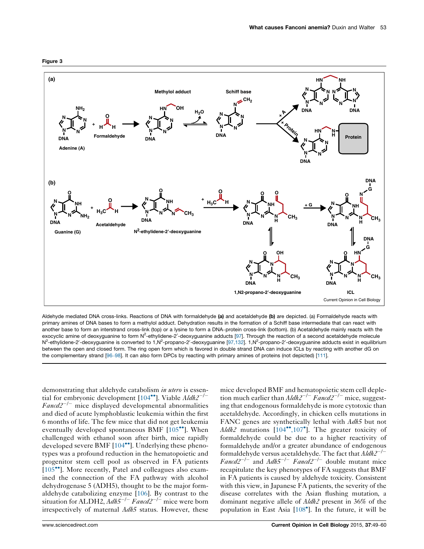<span id="page-4-0"></span>

Aldehyde mediated DNA cross-links. Reactions of DNA with formaldehyde (a) and acetaldehyde (b) are depicted. (a) Formaldehyde reacts with primary amines of DNA bases to form a methylol adduct. Dehydration results in the formation of a Schiff base intermediate that can react with another base to form an interstrand cross-link (top) or a lysine to form a DNA–protein cross-link (bottom). (b) Acetaldehyde mainly reacts with the exocyclic amine of deoxyguanine to form N<sup>2</sup>-ethylidene-2'-deoxyguanine adducts [\[97](#page-10-0)]. Through the reaction of a second acetaldehyde molecule N<sup>2</sup>-ethylidene-2'-deoxyguanine is converted to 1,N<sup>2</sup>-propano-2'-deoxyguanine [\[97,132](#page-10-0)]. 1,N<sup>2</sup>-propano-2'-deoxyguanine adducts exist in equilibrium between the open and closed form. The ring open form which is favored in double strand DNA can induce ICLs by reacting with another dG on the complementary strand [\[96](#page-10-0)–98]. It can also form DPCs by reacting with primary amines of proteins (not depicted) [\[111\]](#page-11-0).

demonstrating that aldehyde catabolism in utero is essential for embryonic development  $[104^{\bullet\bullet}]$  $[104^{\bullet\bullet}]$  $[104^{\bullet\bullet}]$ . Viable  $\frac{A}{dh2^{-}}$  $Fancd2^{-/-}$  mice displayed developmental abnormalities and died of acute lymphoblastic leukemia within the first 6 months of life. The few mice that did not get leukemia eventually developed spontaneous BMF  $[105\text{°}']$  $[105\text{°}']$  $[105\text{°}']$ . When challenged with ethanol soon after birth, mice rapidly developed severe BMF  $[104\text{°}$  $[104\text{°}$ . Underlying these phenotypes was a profound reduction in the hematopoietic and progenitor stem cell pool as observed in FA patients [\[105](#page-10-0)<sup>••</sup>]. More recently, Patel and colleagues also examined the connection of the FA pathway with alcohol dehydrogenase 5 (ADH5), thought to be the major formaldehyde catabolizing enzyme [\[106](#page-10-0)]. By contrast to the situation for ALDH2,  $Adh5^{-/-}$  Fancd2<sup>-/-</sup> mice were born irrespectively of maternal Adh5 status. However, these

mice developed BMF and hematopoietic stem cell depletion much earlier than  $A/dh2^{-/-} Fancd2^{-/-}$  mice, suggesting that endogenous formaldehyde is more cytotoxic than acetaldehyde. Accordingly, in chicken cells mutations in FANC genes are synthetically lethal with Adh5 but not  $A/dh2$  mutations  $[104^{\bullet\bullet}, 107^{\bullet}]$  $[104^{\bullet\bullet}, 107^{\bullet}]$ . The greater toxicity of formaldehyde could be due to a higher reactivity of formaldehyde and/or a greater abundance of endogenous formaldehyde versus acetaldehyde. The fact that  $A/dh2^{-/-}$ Fancd $2^{-/-}$  and Adh5<sup>-/-</sup> Fancd2<sup>-/-</sup> double mutant mice recapitulate the key phenotypes of FA suggests that BMF in FA patients is caused by aldehyde toxicity. Consistent with this view, in Japanese FA patients, the severity of the disease correlates with the Asian flushing mutation, a dominant negative allele of Aldh2 present in 36% of the population in East Asia [[108](#page-10-0) ]. In the future, it will be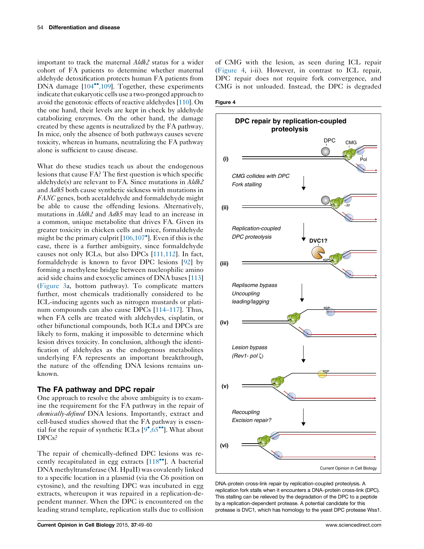<span id="page-5-0"></span>important to track the maternal Aldh2 status for a wider cohort of FA patients to determine whether maternal aldehyde detoxification protects human FA patients from DNA damage  $[104\degree, 109]$  $[104\degree, 109]$ . Together, these experiments indicate that eukaryotic cells use a two-pronged approach to avoid the genotoxic effects of reactive aldehydes [\[110](#page-11-0)]. On the one hand, their levels are kept in check by aldehyde catabolizing enzymes. On the other hand, the damage created by these agents is neutralized by the FA pathway. In mice, only the absence of both pathways causes severe toxicity, whereas in humans, neutralizing the FA pathway alone is sufficient to cause disease.

What do these studies teach us about the endogenous lesions that cause FA? The first question is which specific aldehyde(s) are relevant to FA. Since mutations in Aldh2 and Adh5 both cause synthetic sickness with mutations in FANC genes, both acetaldehyde and formaldehyde might be able to cause the offending lesions. Alternatively, mutations in *Aldh2* and *Adh5* may lead to an increase in a common, unique metabolite that drives FA. Given its greater toxicity in chicken cells and mice, formaldehyde might be the primary culprit [\[106,107](#page-10-0) ]. Even if this is the case, there is a further ambiguity, since formaldehyde causes not only ICLs, but also DPCs [\[111,112\]](#page-11-0). In fact, formaldehyde is known to favor DPC lesions [\[92](#page-10-0)] by forming a methylene bridge between nucleophilic amino acid side chains and exocyclic amines of DNA bases [[113\]](#page-11-0) [\(Figure](#page-4-0) 3a, bottom pathway). To complicate matters further, most chemicals traditionally considered to be ICL-inducing agents such as nitrogen mustards or platinum compounds can also cause DPCs [114–[117\]](#page-11-0). Thus, when FA cells are treated with aldehydes, cisplatin, or other bifunctional compounds, both ICLs and DPCs are likely to form, making it impossible to determine which lesion drives toxicity. In conclusion, although the identification of aldehydes as the endogenous metabolites underlying FA represents an important breakthrough, the nature of the offending DNA lesions remains unknown.

## The FA pathway and DPC repair

One approach to resolve the above ambiguity is to examine the requirement for the FA pathway in the repair of chemically-defined DNA lesions. Importantly, extract and cell-based studies showed that the FA pathway is essential for the repair of synthetic ICLs  $[9^{\bullet}, 65^{\bullet \bullet}]$  $[9^{\bullet}, 65^{\bullet \bullet}]$  $[9^{\bullet}, 65^{\bullet \bullet}]$ . What about DPCs?

The repair of chemically-defined DPC lesions was recently recapitulated in egg extracts  $[118\text{°}$  $[118\text{°}$  $[118\text{°}$ . A bacterial DNA methyltransferase (M. HpaII) was covalently linked to a specific location in a plasmid (via the C6 position on cytosine), and the resulting DPC was incubated in egg extracts, whereupon it was repaired in a replication-dependent manner. When the DPC is encountered on the leading strand template, replication stalls due to collision

of CMG with the lesion, as seen during ICL repair (Figure 4, i-ii). However, in contrast to ICL repair, DPC repair does not require fork convergence, and CMG is not unloaded. Instead, the DPC is degraded

#### Figure 4



DNA–protein cross-link repair by replication-coupled proteolysis. A replication fork stalls when it encounters a DNA–protein cross-link (DPC). This stalling can be relieved by the degradation of the DPC to a peptide by a replication-dependent protease. A potential candidate for this protease is DVC1, which has homology to the yeast DPC protease Wss1.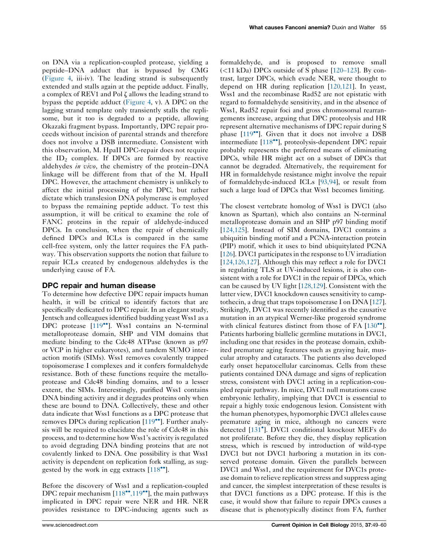on DNA via a replication-coupled protease, yielding a peptide–DNA adduct that is bypassed by CMG [\(Figure](#page-5-0) 4, iii-iv). The leading strand is subsequently extended and stalls again at the peptide adduct. Finally, a complex of REV1 and Pol  $\zeta$  allows the leading strand to bypass the peptide adduct [\(Figure](#page-5-0) 4, v). A DPC on the lagging strand template only transiently stalls the replisome, but it too is degraded to a peptide, allowing Okazaki fragment bypass. Importantly, DPC repair proceeds without incision of parental strands and therefore does not involve a DSB intermediate. Consistent with this observation, M. HpaII DPC-repair does not require the  $ID_2$  complex. If DPCs are formed by reactive aldehydes in vivo, the chemistry of the protein–DNA linkage will be different from that of the M. HpaII DPC. However, the attachment chemistry is unlikely to affect the initial processing of the DPC, but rather dictate which translesion DNA polymerase is employed to bypass the remaining peptide adduct. To test this assumption, it will be critical to examine the role of FANC proteins in the repair of aldehyde-induced DPCs. In conclusion, when the repair of chemically defined DPCs and ICLs is compared in the same cell-free system, only the latter requires the FA pathway. This observation supports the notion that failure to repair ICLs created by endogenous aldehydes is the underlying cause of FA.

# DPC repair and human disease

To determine how defective DPC repair impacts human health, it will be critical to identify factors that are specifically dedicated to DPC repair. In an elegant study, Jentsch and colleagues identified budding yeast Wss1 as a DPC protease [[119](#page-11-0)<sup>••</sup>]. Wss1 contains an N-terminal metalloprotease domain, SHP and VIM domains that mediate binding to the Cdc48 ATPase (known as p97 or VCP in higher eukaryotes), and tandem SUMO interaction motifs (SIMs). Wss1 removes covalently trapped topoisomerase I complexes and it confers formaldehyde resistance. Both of these functions require the metalloprotease and Cdc48 binding domains, and to a lesser extent, the SIMs. Interestingly, purified Wss1 contains DNA binding activity and it degrades proteins only when these are bound to DNA. Collectively, these and other data indicate that Wss1 functions as a DPC protease that removes DPCs during replication  $[119\text{°}$  $[119\text{°}$ . Further analysis will be required to elucidate the role of Cdc48 in this process, and to determine how Wss1's activity is regulated to avoid degrading DNA binding proteins that are not covalently linked to DNA. One possibility is that Wss1 activity is dependent on replication fork stalling, as suggested by the work in egg extracts  $[118\text{°}$  $[118\text{°}$  $[118\text{°}$ .

Before the discovery of Wss1 and a replication-coupled DPC repair mechanism  $[118\text{''}$  $[118\text{''}$ , 119<sup>\\*</sup>], the main pathways implicated in DPC repair were NER and HR. NER provides resistance to DPC-inducing agents such as

formaldehyde, and is proposed to remove small  $(<$ 11 kDa) DPCs outside of S phase [\[120](#page-11-0)–123]. By contrast, larger DPCs, which evade NER, were thought to depend on HR during replication [[120,121](#page-11-0)]. In yeast, Wss1 and the recombinase Rad52 are not epistatic with regard to formaldehyde sensitivity, and in the absence of Wss1, Rad52 repair foci and gross chromosomal rearrangements increase, arguing that DPC proteolysis and HR represent alternative mechanisms of DPC repair during S phase  $[119$  $[119$ <sup> $\bullet$ </sup>]. Given that it does not involve a DSB intermediate [\[118](#page-11-0)<sup>\*</sup>], proteolysis-dependent DPC repair probably represents the preferred means of eliminating DPCs, while HR might act on a subset of DPCs that cannot be degraded. Alternatively, the requirement for HR in formaldehyde resistance might involve the repair of formaldehyde-induced ICLs [\[93,94\]](#page-10-0), or result from such a large load of DPCs that Wss1 becomes limiting.

The closest vertebrate homolog of Wss1 is DVC1 (also known as Spartan), which also contains an N-terminal metalloprotease domain and an SHP p97 binding motif [[124,125\]](#page-11-0). Instead of SIM domains, DVC1 contains a ubiquitin binding motif and a PCNA-interaction protein (PIP) motif, which it uses to bind ubiquitylated PCNA [[126](#page-11-0)]. DVC1 participates in the response to UV irradiation [[124,126,127](#page-11-0)]. Although this may reflect a role for DVC1 in regulating TLS at UV-induced lesions, it is also consistent with a role for DVC1 in the repair of DPCs, which can be caused by UV light [[128,129](#page-11-0)]. Consistent with the latter view, DVC1 knockdown causes sensitivity to camptothecin, a drug that traps topoisomerase I on DNA [[127\]](#page-11-0). Strikingly, DVC1 was recently identified as the causative mutation in an atypical Werner-like progeroid syndrome with clinical features distinct from those of FA  $[130\text{°}$  $[130\text{°}$ <sup>\*</sup>]. Patients harboring biallelic germline mutations in DVC1, including one that resides in the protease domain, exhibited premature aging features such as graying hair, muscular atrophy and cataracts. The patients also developed early onset hepatocellular carcinomas. Cells from these patients contained DNA damage and signs of replication stress, consistent with DVC1 acting in a replication-coupled repair pathway. In mice, DVC1 null mutations cause embryonic lethality, implying that DVC1 is essential to repair a highly toxic endogenous lesion. Consistent with the human phenotypes, hypomorphic DVC1 alleles cause premature aging in mice, although no cancers were detected [[131](#page-11-0) ]. DVC1 conditional knockout MEFs do not proliferate. Before they die, they display replication stress, which is rescued by introduction of wild-type DVC1 but not DVC1 harboring a mutation in its conserved protease domain. Given the parallels between DVC1 and Wss1, and the requirement for DVC1s protease domain to relieve replication stress and suppress aging and cancer, the simplest interpretation of these results is that DVC1 functions as a DPC protease. If this is the case, it would show that failure to repair DPCs causes a disease that is phenotypically distinct from FA, further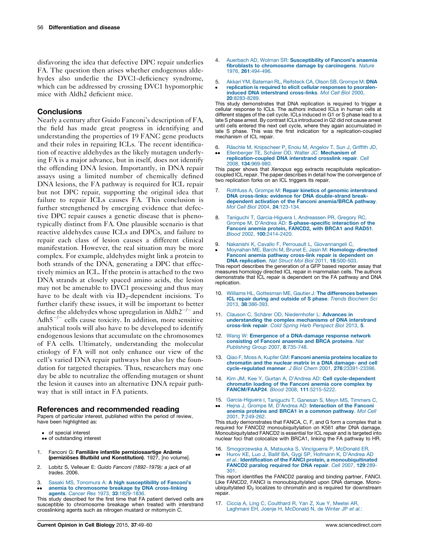<span id="page-7-0"></span>disfavoring the idea that defective DPC repair underlies FA. The question then arises whether endogenous aldehydes also underlie the DVC1-deficiency syndrome, which can be addressed by crossing DVC1 hypomorphic mice with Aldh2 deficient mice.

#### **Conclusions**

Nearly a century after Guido Fanconi's description of FA, the field has made great progress in identifying and understanding the properties of 19 FANC gene products and their roles in repairing ICLs. The recent identification of reactive aldehydes as the likely mutagen underlying FA is a major advance, but in itself, does not identify the offending DNA lesion. Importantly, in DNA repair assays using a limited number of chemically defined DNA lesions, the FA pathway is required for ICL repair but not DPC repair, supporting the original idea that failure to repair ICLs causes FA. This conclusion is further strengthened by emerging evidence that defective DPC repair causes a genetic disease that is phenotypically distinct from FA. One plausible scenario is that reactive aldehydes cause ICLs and DPCs, and failure to repair each class of lesion causes a different clinical manifestation. However, the real situation may be more complex. For example, aldehydes might link a protein to both strands of the DNA, generating a DPC that effectively mimics an ICL. If the protein is attached to the two DNA strands at closely spaced amino acids, the lesion may not be amenable to DVC1 processing and thus may have to be dealt with via  $ID_2$ -dependent incisions. To further clarify these issues, it will be important to better define the aldehydes whose upregulation in Aldh $2^{-/-}$  and Adh $5^{-/-}$  cells cause toxicity. In addition, more sensitive analytical tools will also have to be developed to identify endogenous lesions that accumulate on the chromosomes of FA cells. Ultimately, understanding the molecular etiology of FA will not only enhance our view of the cell's varied DNA repair pathways but also lay the foundation for targeted therapies. Thus, researchers may one day be able to neutralize the offending mutagen or shunt the lesion it causes into an alternative DNA repair pathway that is still intact in FA patients.

#### References and recommended reading

Papers of particular interest, published within the period of review, have been highlighted as:

- of special interest •• of outstanding interest
- 
- 1. Fanconi G: Familiäre infantile perniziosaartige Anämie (pernizioses Blutbild und Konstitution). 1927, [no volume].
- 2. Lobitz S, Velleuer E: Guido Fanconi (1892–1979): a jack of all trades. 2006.
- 3. Sasaki MS, Tonomura A: A high [susceptibility](http://refhub.elsevier.com/S0955-0674(15)00112-X/sbref0675) of Fanconi's
- .. anemia to [chromosome](http://refhub.elsevier.com/S0955-0674(15)00112-X/sbref0675) breakage by DNA cross-linking agents. Cancer Res 1973, 33[:1829-1836.](http://refhub.elsevier.com/S0955-0674(15)00112-X/sbref0675)

This study described for the first time that FA patient derived cells are susceptible to chromosome breakage when treated with interstrand crosslinking agents such as nitrogen mustard or mitomycin C.

- 4. Auerbach AD, Wolman SR: [Susceptibility](http://refhub.elsevier.com/S0955-0674(15)00112-X/sbref0680) of Fanconi's anaemia fibroblasts to [chromosome](http://refhub.elsevier.com/S0955-0674(15)00112-X/sbref0680) damage by carcinogens. Nature 1976, 261[:494-496.](http://refhub.elsevier.com/S0955-0674(15)00112-X/sbref0680)
- 5. Akkari YM, Bateman RL, [Reifsteck](http://refhub.elsevier.com/S0955-0674(15)00112-X/sbref0685) CA, Olson SB, Grompe M: DNA
- $\bullet$ [replication](http://refhub.elsevier.com/S0955-0674(15)00112-X/sbref0685) is required to elicit cellular responses to psoraleninduced DNA interstrand [cross-links](http://refhub.elsevier.com/S0955-0674(15)00112-X/sbref0685). Mol Cell Biol 2000, 20[:8283-8289.](http://refhub.elsevier.com/S0955-0674(15)00112-X/sbref0685)

This study demonstrates that DNA replication is required to trigger a cellular response to ICLs. The authors induced ICLs in human cells at different stages of the cell cycle. ICLs induced in G1 or S phase lead to a late S phase arrest. By contrast ICLs introduced in G2 did not cause arrest until cells entered the next cell cycle, where they again accumulated in late S phase. This was the first indication for a replication-coupled mechanism of ICL repair.

- 6. Räschle M, [Knipscheer](http://refhub.elsevier.com/S0955-0674(15)00112-X/sbref0690) P, Enoiu M, Angelov T, Sun J, Griffith JD,
- $\bullet \bullet$ Ellenberger TE, Schärer OD, Walter JC: [Mechanism](http://refhub.elsevier.com/S0955-0674(15)00112-X/sbref0690) of [replication-coupled](http://refhub.elsevier.com/S0955-0674(15)00112-X/sbref0690) DNA interstrand crosslink repair. Cell 2008, 134[:969-980.](http://refhub.elsevier.com/S0955-0674(15)00112-X/sbref0690)

This paper shows that Xenopus egg extracts recapitulate replicationcoupled ICL repair. The paper describes in detail how the convergence of two replication forks on an ICL triggers its repair.

- 7. Rothfuss A, Grompe M: Repair kinetics of genomic [interstrand](http://refhub.elsevier.com/S0955-0674(15)00112-X/sbref0695) DNA cross-links: evidence for DNA [double-strand](http://refhub.elsevier.com/S0955-0674(15)00112-X/sbref0695) breakdependent activation of the Fanconi [anemia/BRCA](http://refhub.elsevier.com/S0955-0674(15)00112-X/sbref0695) pathway. Mol Cell Biol 2004, 24[:123-134.](http://refhub.elsevier.com/S0955-0674(15)00112-X/sbref0695)
- 8. Taniguchi T, [Garcia-Higuera](http://refhub.elsevier.com/S0955-0674(15)00112-X/sbref0700) I, Andreassen PR, Gregory RC, Grompe M, D'Andrea AD: [S-phase-specific](http://refhub.elsevier.com/S0955-0674(15)00112-X/sbref0700) interaction of the Fanconi anemia protein, [FANCD2,](http://refhub.elsevier.com/S0955-0674(15)00112-X/sbref0700) with BRCA1 and RAD51. Blood 2002, 100[:2414-2420.](http://refhub.elsevier.com/S0955-0674(15)00112-X/sbref0700)
- 9.
- $\bullet$ Nakanishi K, Cavallo F, Perrouault L, [Giovannangeli](http://refhub.elsevier.com/S0955-0674(15)00112-X/sbref0705) C,<br>Moynahan ME, Barchi M, Brunet E, Jasin M: **[Homology-directed](http://refhub.elsevier.com/S0955-0674(15)00112-X/sbref0705)** Fanconi anemia pathway cross-link repair is [dependent](http://refhub.elsevier.com/S0955-0674(15)00112-X/sbref0705) on DNA [replication](http://refhub.elsevier.com/S0955-0674(15)00112-X/sbref0705). Nat Struct Mol Biol 2011, 18:500-503.

This report describes the generation of a GFP based reporter assay that measures homology directed ICL repair in mammalian cells. The authors demonstrate that ICL repair is dependent on the FA pathway and DNA replication.

- 10. Williams HL, Gottesman ME, Gautier J: The [differences](http://refhub.elsevier.com/S0955-0674(15)00112-X/sbref0710) between ICL repair during and outside of S phase. Trends [Biochem](http://refhub.elsevier.com/S0955-0674(15)00112-X/sbref0710) Sci 2013, 38[:386-393.](http://refhub.elsevier.com/S0955-0674(15)00112-X/sbref0710)
- 11. Clauson C, Schärer OD, [Niedernhofer](http://refhub.elsevier.com/S0955-0674(15)00112-X/sbref0715) L: Advances in [understanding](http://refhub.elsevier.com/S0955-0674(15)00112-X/sbref0715) the complex mechanisms of DNA interstrand [cross-link](http://refhub.elsevier.com/S0955-0674(15)00112-X/sbref0715) repair. Cold Spring Harb Perspect Biol 2013, 5.
- 12. Wang W: Emergence of a [DNA-damage](http://refhub.elsevier.com/S0955-0674(15)00112-X/sbref0720) response network [consisting](http://refhub.elsevier.com/S0955-0674(15)00112-X/sbref0720) of Fanconi anaemia and BRCA proteins. Nat [Publishing](http://refhub.elsevier.com/S0955-0674(15)00112-X/sbref0720) Group 2007, 8:735-748.
- 13. Qiao F, Moss A, Kupfer GM: Fanconi anemia [proteins](http://refhub.elsevier.com/S0955-0674(15)00112-X/sbref0725) localize to [chromatin](http://refhub.elsevier.com/S0955-0674(15)00112-X/sbref0725) and the nuclear matrix in a DNA damage- and cell [cycle-regulated](http://refhub.elsevier.com/S0955-0674(15)00112-X/sbref0725) manner. J Biol Chem 2001, 276:23391-23396.
- 14. Kim JM, Kee Y, Gurtan A, D'Andrea AD: Cell [cycle-dependent](http://refhub.elsevier.com/S0955-0674(15)00112-X/sbref0730) [chromatin](http://refhub.elsevier.com/S0955-0674(15)00112-X/sbref0730) loading of the Fanconi anemia core complex by [FANCM/FAAP24](http://refhub.elsevier.com/S0955-0674(15)00112-X/sbref0730). Blood 2008, 111:5215-5222.
- 15. [Garcia-Higuera](http://refhub.elsevier.com/S0955-0674(15)00112-X/sbref0735) I, Taniguchi T, Ganesan S, Meyn MS, Timmers C,
- $\bullet \bullet$ Hejna J, Grompe M, D'Andrea AD: [Interaction](http://refhub.elsevier.com/S0955-0674(15)00112-X/sbref0735) of the Fanconi anemia proteins and BRCA1 in a [common](http://refhub.elsevier.com/S0955-0674(15)00112-X/sbref0735) pathway. Mol Cell 2001, 7[:249-262.](http://refhub.elsevier.com/S0955-0674(15)00112-X/sbref0735)

This study demonstrates that FANCA, C, F, and G form a complex that is required for FANCD2 monoubiquitylation on K561 after DNA damage. Monoubiquitylated FANCD2 is essential for ICL repair and is targeted into nuclear foci that colocalize with BRCA1, linking the FA pathway to HR.

- 16. [Smogorzewska](http://refhub.elsevier.com/S0955-0674(15)00112-X/sbref0740) A, Matsuoka S, Vinciguerra P, McDonald ER, Hurov KE, Luo J, Ballif BA, Gygi SP, Hofmann K, [D'Andrea](http://refhub.elsevier.com/S0955-0674(15)00112-X/sbref0740) AD
- $\bullet \bullet$ et al.: Identification of the FANCI protein, a [monoubiquitinated](http://refhub.elsevier.com/S0955-0674(15)00112-X/sbref0740) FANCD2 paralog [required](http://refhub.elsevier.com/S0955-0674(15)00112-X/sbref0740) for DNA repair. Cell 2007, 129:289- [301.](http://refhub.elsevier.com/S0955-0674(15)00112-X/sbref0740)

This report identifies the FANCD2 paralog and binding partner, FANCI. Like FANCD2, FANCI is monoubiquitylated upon DNA damage. Monoubiquitylated  $ID_2$  localizes to chromatin and is required for downstream repair.

17. Ciccia A, Ling C, [Coulthard](http://refhub.elsevier.com/S0955-0674(15)00112-X/sbref0745) R, Yan Z, Xue Y, Meetei AR, Laghmani EH, Joenje H, [McDonald](http://refhub.elsevier.com/S0955-0674(15)00112-X/sbref0745) N, de Winter JP et al.: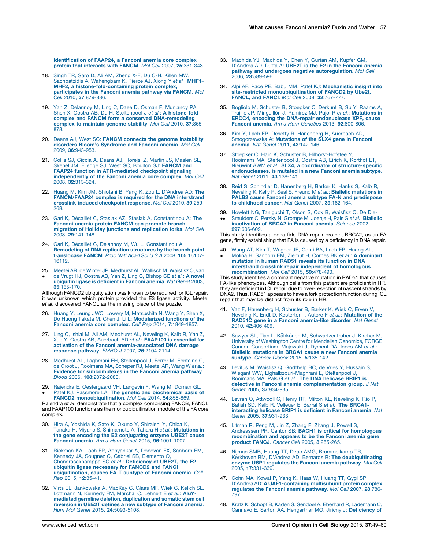<span id="page-8-0"></span>[Identification](http://refhub.elsevier.com/S0955-0674(15)00112-X/sbref0745) of FAAP24, a Fanconi anemia core complex protein that interacts with FANCM. Mol Cell 2007, 25[:331-343.](http://refhub.elsevier.com/S0955-0674(15)00112-X/sbref0745)

- 18. Singh TR, Saro D, Ali AM, [Zheng](http://refhub.elsevier.com/S0955-0674(15)00112-X/sbref0750) X-F, Du C-H, Killen MW,<br>[Sachpatzidis](http://refhub.elsevier.com/S0955-0674(15)00112-X/sbref0750) A, Wahengbam K, Pierce AJ, Xiong Y e*t al.*: MHF1-MHF2, a [histone-fold-containing](http://refhub.elsevier.com/S0955-0674(15)00112-X/sbref0750) protein complex, [participates](http://refhub.elsevier.com/S0955-0674(15)00112-X/sbref0750) in the Fanconi anemia pathway via FANCM. Mol Cell 2010, 37[:879-886.](http://refhub.elsevier.com/S0955-0674(15)00112-X/sbref0750)
- 19. Yan Z, Delannoy M, Ling C, Daee D, Osman F, [Muniandy](http://refhub.elsevier.com/S0955-0674(15)00112-X/sbref0755) PA,<br>Shen X, Oostra AB, Du H, Steltenpool J et al.: **A [histone-fold](http://refhub.elsevier.com/S0955-0674(15)00112-X/sbref0755)** complex and FANCM form a conserved [DNA-remodeling](http://refhub.elsevier.com/S0955-0674(15)00112-X/sbref0755) complex to [maintain](http://refhub.elsevier.com/S0955-0674(15)00112-X/sbref0755) genome stability. Mol Cell 2010, 37:865- [878.](http://refhub.elsevier.com/S0955-0674(15)00112-X/sbref0755)
- 20. Deans AJ, West SC: FANCM connects the genome [instability](http://refhub.elsevier.com/S0955-0674(15)00112-X/sbref0760) disorders Bloom's [Syndrome](http://refhub.elsevier.com/S0955-0674(15)00112-X/sbref0760) and Fanconi anemia. Mol Cell 2009, 36[:943-953.](http://refhub.elsevier.com/S0955-0674(15)00112-X/sbref0760)
- 21. Collis SJ, Ciccia A, Deans AJ, Horejsi Z, Martin JS, [Maslen](http://refhub.elsevier.com/S0955-0674(15)00112-X/sbref0765) SL, Skehel JM, Elledge SJ, West SC, Boulton SJ: [FANCM](http://refhub.elsevier.com/S0955-0674(15)00112-X/sbref0765) and FAAP24 function in [ATR-mediated](http://refhub.elsevier.com/S0955-0674(15)00112-X/sbref0765) checkpoint signaling [independently](http://refhub.elsevier.com/S0955-0674(15)00112-X/sbref0765) of the Fanconi anemia core complex. Mol Cell 2008, 32[:313-324.](http://refhub.elsevier.com/S0955-0674(15)00112-X/sbref0765)
- 22. Huang M, Kim JM, Shiotani B, Yang K, Zou L, [D'Andrea](http://refhub.elsevier.com/S0955-0674(15)00112-X/sbref0770) AD: The [FANCM/FAAP24](http://refhub.elsevier.com/S0955-0674(15)00112-X/sbref0770) complex is required for the DNA interstrand [crosslink-induced](http://refhub.elsevier.com/S0955-0674(15)00112-X/sbref0770) checkpoint response. Mol Cell 2010, 39:259- [268.](http://refhub.elsevier.com/S0955-0674(15)00112-X/sbref0770)
- 23. Gari K, Décaillet C, Stasiak AZ, Stasiak A, [Constantinou](http://refhub.elsevier.com/S0955-0674(15)00112-X/sbref0775) A: The Fanconi anemia protein FANCM can [promote](http://refhub.elsevier.com/S0955-0674(15)00112-X/sbref0775) branch migration of Holliday junctions and [replication](http://refhub.elsevier.com/S0955-0674(15)00112-X/sbref0775) forks. Mol Cell 2008, 29[:141-148.](http://refhub.elsevier.com/S0955-0674(15)00112-X/sbref0775)
- 24. Gari K, Décaillet C, Delannoy M, Wu L, [Constantinou](http://refhub.elsevier.com/S0955-0674(15)00112-X/sbref0780) A: [Remodeling](http://refhub.elsevier.com/S0955-0674(15)00112-X/sbref0780) of DNA replication structures by the branch point [translocase](http://refhub.elsevier.com/S0955-0674(15)00112-X/sbref0780) FANCM. Proc Natl Acad Sci U S A 2008, 105:16107- [16112.](http://refhub.elsevier.com/S0955-0674(15)00112-X/sbref0780)
- 25. Meetei AR, de Winter JP, [Medhurst](http://refhub.elsevier.com/S0955-0674(15)00112-X/sbref0785) AL, Wallisch M, Waisfisz Q, van  $\bullet$ de Vrugt HJ, Oostra AB, Yan Z, Ling C, [Bishop](http://refhub.elsevier.com/S0955-0674(15)00112-X/sbref0785) CE et al.: A novel ubiquitin ligase is [deficient](http://refhub.elsevier.com/S0955-0674(15)00112-X/sbref0785) in Fanconi anemia. Nat Genet 2003,

35[:165-170.](http://refhub.elsevier.com/S0955-0674(15)00112-X/sbref0785) Although FANCD2 ubiquitylation was known to be required for ICL repair, it was unknown which protein provided the E3 ligase activity. Meetei et al. discovered FANCL as the missing piece of the puzzle.

- 26. Huang Y, Leung JWC, Lowery M, [Matsushita](http://refhub.elsevier.com/S0955-0674(15)00112-X/sbref0790) N, Wang Y, Shen X, Do Huong Takata M, Chen J, Li L: [Modularized](http://refhub.elsevier.com/S0955-0674(15)00112-X/sbref0790) functions of the Fanconi anemia core complex. Cell Rep 2014, 7[:1849-1857.](http://refhub.elsevier.com/S0955-0674(15)00112-X/sbref0790)
- 27. Ling C, Ishiai M, Ali AM, [Medhurst](http://refhub.elsevier.com/S0955-0674(15)00112-X/sbref0795) AL, Neveling K, Kalb R, Yan Z,<br>Xue Y, Oostra AB, [Auerbach](http://refhub.elsevier.com/S0955-0674(15)00112-X/sbref0795) AD et al.: FAAP100 is essential for activation of the Fanconi [anemia-associated](http://refhub.elsevier.com/S0955-0674(15)00112-X/sbref0795) DNA damage response pathway. EMBO J 2007, 26[:2104-2114.](http://refhub.elsevier.com/S0955-0674(15)00112-X/sbref0795)
- 28. Medhurst AL, Laghmani EH, [Steltenpool](http://refhub.elsevier.com/S0955-0674(15)00112-X/sbref0800) J, Ferrer M, Fontaine C, de Groot J, [Rooimans](http://refhub.elsevier.com/S0955-0674(15)00112-X/sbref0800) MA, Scheper RJ, Meetei AR, Wang W et al.: Evidence for [subcomplexes](http://refhub.elsevier.com/S0955-0674(15)00112-X/sbref0800) in the Fanconi anemia pathway. Blood 2006, 108[:2072-2080.](http://refhub.elsevier.com/S0955-0674(15)00112-X/sbref0800)
- 29. Rajendra E, [Oestergaard](http://refhub.elsevier.com/S0955-0674(15)00112-X/sbref0805) VH, Langevin F, Wang M, Dornan GL,  $\bullet$ Patel KJ, Passmore LA: The genetic and [biochemical](http://refhub.elsevier.com/S0955-0674(15)00112-X/sbref0805) basis of FANCD2 [monoubiquitination](http://refhub.elsevier.com/S0955-0674(15)00112-X/sbref0805). Mol Cell 2014, 54:858-869.

Rajendra et al. demonstrate that a complex comprising FANCB, FANCL and FAAP100 functions as the monoubiquitination module of the FA core complex.

- Hira A, Yoshida K, Sato K, Okuno Y, [Shiraishi](http://refhub.elsevier.com/S0955-0674(15)00112-X/sbref0810) Y, Chiba K, Tanaka H, Miyano S, [Shimamoto](http://refhub.elsevier.com/S0955-0674(15)00112-X/sbref0810) A, Tahara H et al.: Mutations in the gene encoding the E2 [conjugating](http://refhub.elsevier.com/S0955-0674(15)00112-X/sbref0810) enzyme UBE2T cause Fanconi anemia. Am J Hum Genet 2015, 96[:1001-1007.](http://refhub.elsevier.com/S0955-0674(15)00112-X/sbref0810)
- 31. Rickman KA, Lach FP, [Abhyankar](http://refhub.elsevier.com/S0955-0674(15)00112-X/sbref0815) A, Donovan FX, Sanborn EM,<br>Kennedy JA, Sougnez C, Gabriel SB, [Elemento](http://refhub.elsevier.com/S0955-0674(15)00112-X/sbref0815) O,<br>[Chandrasekharappa](http://refhub.elsevier.com/S0955-0674(15)00112-X/sbref0815) SC et al.: **Deficiency of UBE2T, the E2** ubiquitin ligase [necessary](http://refhub.elsevier.com/S0955-0674(15)00112-X/sbref0815) for FANCD2 and FANCI<br>[ubiquitination,](http://refhub.elsevier.com/S0955-0674(15)00112-X/sbref0815) causes FA-T subtype of Fanconi anemia. Cell Rep 2015, 12[:35-41.](http://refhub.elsevier.com/S0955-0674(15)00112-X/sbref0815)
- 32. Virts EL, [Jankowska](http://refhub.elsevier.com/S0955-0674(15)00112-X/sbref0820) A, MacKay C, Glaas MF, Wiek C, Kelich SL, [Lottmann](http://refhub.elsevier.com/S0955-0674(15)00112-X/sbref0820) N, Kennedy FM, Marchal C, Lehnert E et al.: AluYmediated germline deletion, [duplication](http://refhub.elsevier.com/S0955-0674(15)00112-X/sbref0820) and somatic stem cell [reversion](http://refhub.elsevier.com/S0955-0674(15)00112-X/sbref0820) in UBE2T defines a new subtype of Fanconi anemia. Hum Mol Genet 2015, 24[:5093-5108.](http://refhub.elsevier.com/S0955-0674(15)00112-X/sbref0820)
- 33. Machida YJ, [Machida](http://refhub.elsevier.com/S0955-0674(15)00112-X/sbref0825) Y, Chen Y, Gurtan AM, Kupfer GM, [D'Andrea](http://refhub.elsevier.com/S0955-0674(15)00112-X/sbref0825) AD, Dutta A: UBE2T is the E2 in the Fanconi anemia pathway and undergoes negative [autoregulation](http://refhub.elsevier.com/S0955-0674(15)00112-X/sbref0825). Mol Cell 2006, 23[:589-596.](http://refhub.elsevier.com/S0955-0674(15)00112-X/sbref0825)
- 34. Alpi AF, Pace PE, Babu MM, Patel KJ: [Mechanistic](http://refhub.elsevier.com/S0955-0674(15)00112-X/sbref0830) insight into site-restricted [monoubiquitination](http://refhub.elsevier.com/S0955-0674(15)00112-X/sbref0830) of FANCD2 by Ube2t, FANCL, and FANCI. Mol Cell 2008, 32[:767-777.](http://refhub.elsevier.com/S0955-0674(15)00112-X/sbref0830)
- 35. Bogliolo M, Schuster B, [Stoepker](http://refhub.elsevier.com/S0955-0674(15)00112-X/sbref0835) C, Derkunt B, Su Y, Raams A,<br>Trujillo JP, Minguillón J, Ramírez MJ, Pujol R e*t al.*: **[Mutations](http://refhub.elsevier.com/S0955-0674(15)00112-X/sbref0835) in** ERCC4, encoding the DNA-repair [endonuclease](http://refhub.elsevier.com/S0955-0674(15)00112-X/sbref0835) XPF, cause Fanconi anemia. Am J Hum Genetics 2013, 92[:800-806.](http://refhub.elsevier.com/S0955-0674(15)00112-X/sbref0835)
- 36. Kim Y, Lach FP, Desetty R, [Hanenberg](http://refhub.elsevier.com/S0955-0674(15)00112-X/sbref0840) H, Auerbach AD, [Smogorzewska](http://refhub.elsevier.com/S0955-0674(15)00112-X/sbref0840) A: Mutations of the SLX4 gene in Fanconi anemia. Nat Genet 2011, 43[:142-146.](http://refhub.elsevier.com/S0955-0674(15)00112-X/sbref0840)
- 37. Stoepker C, Hain K, Schuster B, [Hilhorst-Hofstee](http://refhub.elsevier.com/S0955-0674(15)00112-X/sbref0845) Y, Rooimans MA, [Steltenpool](http://refhub.elsevier.com/S0955-0674(15)00112-X/sbref0845) J, Oostra AB, Eirich K, Korthof ET, Nieuwint AWM et al.: SLX4, a coordinator of [structure-specific](http://refhub.elsevier.com/S0955-0674(15)00112-X/sbref0845) [endonucleases,](http://refhub.elsevier.com/S0955-0674(15)00112-X/sbref0845) is mutated in a new Fanconi anemia subtype. Nat Genet 2011, 43[:138-141.](http://refhub.elsevier.com/S0955-0674(15)00112-X/sbref0845)
- 38. Reid S, Schindler D, [Hanenberg](http://refhub.elsevier.com/S0955-0674(15)00112-X/sbref0850) H, Barker K, Hanks S, Kalb R, Neveling K, Kelly P, Seal S, Freund M et al.: Biallelic [mutations](http://refhub.elsevier.com/S0955-0674(15)00112-X/sbref0850) in PALB2 cause Fanconi anemia subtype FA-N and [predispose](http://refhub.elsevier.com/S0955-0674(15)00112-X/sbref0850) to [childhood](http://refhub.elsevier.com/S0955-0674(15)00112-X/sbref0850) cancer. Nat Genet 2007, 39:162-164.
- 39.
- $\bullet \bullet$ Howlett NG, [Taniguchi](http://refhub.elsevier.com/S0955-0674(15)00112-X/sbref0855) T, Olson S, Cox B, Waisfisz Q, De Die-<br>[Smulders](http://refhub.elsevier.com/S0955-0674(15)00112-X/sbref0855) C, Persky N, Grompe M, Joenje H, Pals G e*t al.*: **Biallelic** [inactivation](http://refhub.elsevier.com/S0955-0674(15)00112-X/sbref0855) of BRCA2 in Fanconi anemia. Science 2002, 297[:606-609.](http://refhub.elsevier.com/S0955-0674(15)00112-X/sbref0855)

This study identifies a bona fide DNA repair protein, BRCA2, as an FA gene, firmly establishing that FA is caused by a deficiency in DNA repair.

40.  $\bullet$ Wang AT, Kim T, [Wagner](http://refhub.elsevier.com/S0955-0674(15)00112-X/sbref0860) JE, Conti BA, Lach FP, Huang AL,<br>Molina H, Sanborn EM, Zierhut H, Cornes BK e*t al.*: **A [dominant](http://refhub.elsevier.com/S0955-0674(15)00112-X/sbref0860)** [mutation](http://refhub.elsevier.com/S0955-0674(15)00112-X/sbref0860) in human RAD51 reveals its function in DNA interstrand crosslink repair independent of [homologous](http://refhub.elsevier.com/S0955-0674(15)00112-X/sbref0860) [recombination](http://refhub.elsevier.com/S0955-0674(15)00112-X/sbref0860). Mol Cell 2015, 59:478-490.

This study identifies a dominant negative mutation in RAD51 that causes FA-like phenotypes. Although cells from this patient are proficient in HR, they are deficient in ICL repair due to over-resection of nascent strands by DNA2. Thus, RAD51 appears to have a fork protection function during ICL repair that may be distinct from its role in HR.

- 41. Vaz F, [Hanenberg](http://refhub.elsevier.com/S0955-0674(15)00112-X/sbref0865) H, Schuster B, Barker K, Wiek C, Erven V, Neveling K, Endt D, [Kesterton](http://refhub.elsevier.com/S0955-0674(15)00112-X/sbref0865) I, Autore F et al.: Mutation of the RAD51C gene in a Fanconi [anemia-like](http://refhub.elsevier.com/S0955-0674(15)00112-X/sbref0865) disorder. Nat Genet 2010, 42[:406-409.](http://refhub.elsevier.com/S0955-0674(15)00112-X/sbref0865)
- 42. Sawyer SL, Tian L, Kähkönen M, [Schwartzentruber](http://refhub.elsevier.com/S0955-0674(15)00112-X/sbref0870) J, Kircher M, University of [Washington](http://refhub.elsevier.com/S0955-0674(15)00112-X/sbref0870) Centre for Mendelian Genomics, FORGE Canada [Consortium,](http://refhub.elsevier.com/S0955-0674(15)00112-X/sbref0870) Majewski J, Dyment DA, Innes AM et al.: Biallelic [mutations](http://refhub.elsevier.com/S0955-0674(15)00112-X/sbref0870) in BRCA1 cause a new Fanconi anemia subtype. Cancer Discov 2015, 5[:135-142.](http://refhub.elsevier.com/S0955-0674(15)00112-X/sbref0870)
- 43. Levitus M, Waisfisz Q, [Godthelp](http://refhub.elsevier.com/S0955-0674(15)00112-X/sbref0875) BC, de Vries Y, Hussain S, Wiegant WW, [Elghalbzouri-Maghrani](http://refhub.elsevier.com/S0955-0674(15)00112-X/sbref0875) E, Steltenpool J, [Rooimans](http://refhub.elsevier.com/S0955-0674(15)00112-X/sbref0875) MA, Pals G et al.: The DNA helicase BRIP1 is defective in Fanconi anemia [complementation](http://refhub.elsevier.com/S0955-0674(15)00112-X/sbref0875) group. J Nat Genet 2005, 37[:934-935.](http://refhub.elsevier.com/S0955-0674(15)00112-X/sbref0875)
- 44. Levran O, Attwooll C, Henry RT, Milton KL, [Neveling](http://refhub.elsevier.com/S0955-0674(15)00112-X/sbref0880) K, Rio P, Batish SD, Kalb R, Velleuer E, Barral S et al.: **The [BRCA1](http://refhub.elsevier.com/S0955-0674(15)00112-X/sbref0880)** [interacting](http://refhub.elsevier.com/S0955-0674(15)00112-X/sbref0880) helicase BRIP1 is deficient in Fanconi anemia. Nat Genet 2005, 37[:931-933.](http://refhub.elsevier.com/S0955-0674(15)00112-X/sbref0880)
- 45. [Litman](http://refhub.elsevier.com/S0955-0674(15)00112-X/sbref0885) R, Peng M, Jin Z, Zhang F, Zhang J, Powell S,<br>Andreassen PR, Cantor SB: **BACH1 is critical for [homologous](http://refhub.elsevier.com/S0955-0674(15)00112-X/sbref0885)** [recombination](http://refhub.elsevier.com/S0955-0674(15)00112-X/sbref0885) and appears to be the Fanconi anemia gene product FANCJ. Cancer Cell 2005, 8[:255-265.](http://refhub.elsevier.com/S0955-0674(15)00112-X/sbref0885)
- 46. Nijman SMB, Huang TT, Dirac AMG, [Brummelkamp](http://refhub.elsevier.com/S0955-0674(15)00112-X/sbref0890) TR, Kerkhoven RM, D'Andrea AD, Bernards R: The [deubiquitinating](http://refhub.elsevier.com/S0955-0674(15)00112-X/sbref0890) enzyme USP1 [regulates](http://refhub.elsevier.com/S0955-0674(15)00112-X/sbref0890) the Fanconi anemia pathway. Mol Cell 2005, 17[:331-339.](http://refhub.elsevier.com/S0955-0674(15)00112-X/sbref0890)
- 47. Cohn MA, Kowal P, Yang K, Haas W, [Huang](http://refhub.elsevier.com/S0955-0674(15)00112-X/sbref0895) TT, Gygi SP, D'Andrea AD: **A [UAF1-containing](http://refhub.elsevier.com/S0955-0674(15)00112-X/sbref0895) multisubunit protein complex**<br>[regulates](http://refhub.elsevier.com/S0955-0674(15)00112-X/sbref0895) the Fanconi anemia pathway. Mol Cell 2007, 28:786-[797.](http://refhub.elsevier.com/S0955-0674(15)00112-X/sbref0895)
- 48. Kratz K, Schöpf B, Kaden S, Sendoel A, Eberhard R, [Lademann](http://refhub.elsevier.com/S0955-0674(15)00112-X/sbref0900) C Cannavo E, Sartori AA, [Hengartner](http://refhub.elsevier.com/S0955-0674(15)00112-X/sbref0900) MO, Jiricny J: Deficiency of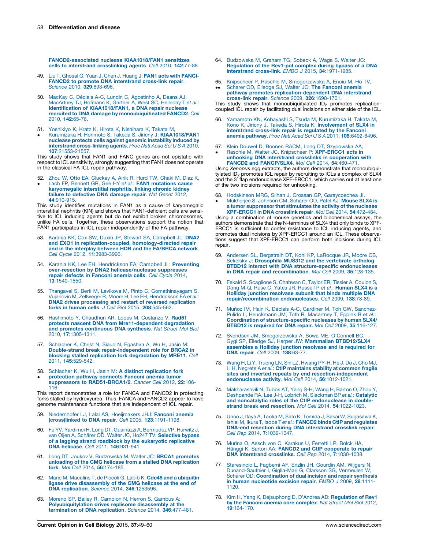<span id="page-9-0"></span>[FANCD2-associated](http://refhub.elsevier.com/S0955-0674(15)00112-X/sbref0900) nuclease KIAA1018/FAN1 sensitizes cells to interstrand [crosslinking](http://refhub.elsevier.com/S0955-0674(15)00112-X/sbref0900) agents. Cell 2010, 142:77-88.

- 49. Liu T, Ghosal G, Yuan J, Chen J, Huang J: FAN1 acts with [FANCI](http://refhub.elsevier.com/S0955-0674(15)00112-X/sbref0905)**FANCD2 to promote DNA [interstrand](http://refhub.elsevier.com/S0955-0674(15)00112-X/sbref0905) cross-link repair.**<br>Science 2010, **329**[:693-696.](http://refhub.elsevier.com/S0955-0674(15)00112-X/sbref0905)
- 50. MacKay C, Déclais A-C, Lundin C, [Agostinho](http://refhub.elsevier.com/S0955-0674(15)00112-X/sbref0910) A, Deans AJ, [MacArtney](http://refhub.elsevier.com/S0955-0674(15)00112-X/sbref0910) TJ, Hofmann K, Gartner A, West SC, Helleday T et al.: Identification of [KIAA1018/FAN1,](http://refhub.elsevier.com/S0955-0674(15)00112-X/sbref0910) a DNA repair nuclease recruited to DNA damage by [monoubiquitinated](http://refhub.elsevier.com/S0955-0674(15)00112-X/sbref0910) FANCD2. Cell 2010, 142[:65-76.](http://refhub.elsevier.com/S0955-0674(15)00112-X/sbref0910)
- 51. [Yoshikiyo](http://refhub.elsevier.com/S0955-0674(15)00112-X/sbref0915) K, Kratz K, Hirota K, Nishihara K, Takata M,
- $\bullet$ Kurumizaka H, Horimoto S, Takeda S, Jiricny J: [KIAA1018/FAN1](http://refhub.elsevier.com/S0955-0674(15)00112-X/sbref0915) nuclease protects cells against genomic [instability](http://refhub.elsevier.com/S0955-0674(15)00112-X/sbref0915) induced by interstrand [cross-linking](http://refhub.elsevier.com/S0955-0674(15)00112-X/sbref0915) agents. Proc Natl Acad Sci U S A 2010, 107[:21553-21557.](http://refhub.elsevier.com/S0955-0674(15)00112-X/sbref0915)

This study shows that FAN1 and FANC genes are not epistatic with respect to ICL sensitivity, strongly suggesting that FAN1 does not operate in the classical FA ICL repair pathway.

- 52.
- $\bullet$ Zhou W, Otto EA, [Cluckey](http://refhub.elsevier.com/S0955-0674(15)00112-X/sbref0920) A, Airik R, Hurd TW, Chaki M, Diaz K,<br>Lach FP, Bennett GR, Gee HY *et al.*: **FAN1 [mutations](http://refhub.elsevier.com/S0955-0674(15)00112-X/sbref0920) cause**<br>**[karyomegalic](http://refhub.elsevier.com/S0955-0674(15)00112-X/sbref0920) interstitial nephritis, linking chronic kidney** failure to [defective](http://refhub.elsevier.com/S0955-0674(15)00112-X/sbref0920) DNA damage repair. Nat Genet 2012, 44[:910-915.](http://refhub.elsevier.com/S0955-0674(15)00112-X/sbref0920)

This study identifies mutations in FAN1 as a cause of karyomegalic interstitial nephritis (KIN) and shows that FAN1-deficient cells are sensitive to ICL inducing agents but do not exhibit broken chromosomes, unlike FA cells. Together, these observations support the notion that FAN1 participates in ICL repair independently of the FA pathway.

- 53. Karanja KK, Cox SW, Duxin JP, Stewart SA, [Campbell](http://refhub.elsevier.com/S0955-0674(15)00112-X/sbref0925) JL: DNA2 and EXO1 in [replication-coupled,](http://refhub.elsevier.com/S0955-0674(15)00112-X/sbref0925) homology-directed repair and in the interplay between HDR and the [FA/BRCA](http://refhub.elsevier.com/S0955-0674(15)00112-X/sbref0925) network. Cell Cycle 2012, 11[:3983-3996.](http://refhub.elsevier.com/S0955-0674(15)00112-X/sbref0925)
- 54. Karanja KK, Lee EH, [Hendrickson](http://refhub.elsevier.com/S0955-0674(15)00112-X/sbref0930) EA, Campbell JL: Preventing over-resection by DNA2 [helicase/nuclease](http://refhub.elsevier.com/S0955-0674(15)00112-X/sbref0930) suppresses repair defects in [Fanconi](http://refhub.elsevier.com/S0955-0674(15)00112-X/sbref0930) anemia cells. Cell Cycle 2014, 13[:1540-1550.](http://refhub.elsevier.com/S0955-0674(15)00112-X/sbref0930)
- 55. Thangavel S, Berti M, Levikova M, Pinto C, [Gomathinayagam](http://refhub.elsevier.com/S0955-0674(15)00112-X/sbref0935) S, Vujanovic M, Zellweger R, Moore H, Lee EH, [Hendrickson](http://refhub.elsevier.com/S0955-0674(15)00112-X/sbref0935) EA et al.: DNA2 drives [processing](http://refhub.elsevier.com/S0955-0674(15)00112-X/sbref0935) and restart of reversed replication forks in human cells. J Cell Biol 2015, 208[:545-562.](http://refhub.elsevier.com/S0955-0674(15)00112-X/sbref0935)
- 56. [Hashimoto](http://refhub.elsevier.com/S0955-0674(15)00112-X/sbref0940) Y, Chaudhuri AR, Lopes M, Costanzo V: Rad51 protects nascent DNA from [Mre11-dependent](http://refhub.elsevier.com/S0955-0674(15)00112-X/sbref0940) degradation and promotes [continuous](http://refhub.elsevier.com/S0955-0674(15)00112-X/sbref0940) DNA synthesis. Nat Struct Mol Biol 2010, 17[:1305-1311.](http://refhub.elsevier.com/S0955-0674(15)00112-X/sbref0940)
- 57. [Schlacher](http://refhub.elsevier.com/S0955-0674(15)00112-X/sbref0945) K, Christ N, Siaud N, Egashira A, Wu H, Jasin M: Double-strand break [repair-independent](http://refhub.elsevier.com/S0955-0674(15)00112-X/sbref0945) role for BRCA2 in blocking stalled replication fork [degradation](http://refhub.elsevier.com/S0955-0674(15)00112-X/sbref0945) by MRE11. Cell 2011, 145[:529-542.](http://refhub.elsevier.com/S0955-0674(15)00112-X/sbref0945)
- 58. Schlacher K, Wu H, Jasin M: A distinct [replication](http://refhub.elsevier.com/S0955-0674(15)00112-X/sbref0950) fork  $\bullet$ [protection](http://refhub.elsevier.com/S0955-0674(15)00112-X/sbref0950) pathway connects Fanconi anemia tumor suppressors to [RAD51-BRCA1/2](http://refhub.elsevier.com/S0955-0674(15)00112-X/sbref0950). Cancer Cell 2012, 22:106-[116.](http://refhub.elsevier.com/S0955-0674(15)00112-X/sbref0950)

This report demonstrates a role for FANCA and FANCD2 in protecting forks stalled by hydroxyurea. Thus, FANCA and FANCD2 appear to have genome maintenance functions that are independent of ICL repair.

- 59. [Niedernhofer](http://refhub.elsevier.com/S0955-0674(15)00112-X/sbref0955) LJ, Lalai AS, Hoeijmakers JHJ: **Fanconi anemia**<br>**[\(cross\)linked](http://refhub.elsevier.com/S0955-0674(15)00112-X/sbref0955) to DNA repair**. *Cell* 2005, 1**23**:1191-1198.
- 60. Fu YV, Yardimci H, Long DT, Guainazzi A, [Bermudez](http://refhub.elsevier.com/S0955-0674(15)00112-X/sbref0960) VP, Hurwitz J, van Oijen A, Schärer OD, Walter JC, Ho247 TV: [Selective](http://refhub.elsevier.com/S0955-0674(15)00112-X/sbref0960) bypass of a lagging strand roadblock by the [eukaryotic](http://refhub.elsevier.com/S0955-0674(15)00112-X/sbref0960) replicative DNA helicase. Cell 2011, 146[:931-941.](http://refhub.elsevier.com/S0955-0674(15)00112-X/sbref0960)
- 61. Long DT, Joukov V, [Budzowska](http://refhub.elsevier.com/S0955-0674(15)00112-X/sbref0965) M, Walter JC: BRCA1 promotes unloading of the CMG helicase from a stalled DNA [replication](http://refhub.elsevier.com/S0955-0674(15)00112-X/sbref0965) fork. Mol Cell 2014, 56[:174-185.](http://refhub.elsevier.com/S0955-0674(15)00112-X/sbref0965)
- 62. Maric M, Maculins T, de Piccoli G, Labib K: Cdc48 and a [ubiquitin](http://refhub.elsevier.com/S0955-0674(15)00112-X/sbref0970) ligase drive [disassembly](http://refhub.elsevier.com/S0955-0674(15)00112-X/sbref0970) of the CMG helicase at the end of DNA [replication](http://refhub.elsevier.com/S0955-0674(15)00112-X/sbref0970). Science 2014, 346:1253596.
- 63. Moreno SP, Bailey R, [Campion](http://refhub.elsevier.com/S0955-0674(15)00112-X/sbref0975) N, Herron S, Gambus A: [Polyubiquitylation](http://refhub.elsevier.com/S0955-0674(15)00112-X/sbref0975) drives replisome disassembly at the [termination](http://refhub.elsevier.com/S0955-0674(15)00112-X/sbref0975) of DNA replication. Science 2014, 346:477-481.
- 64. [Budzowska](http://refhub.elsevier.com/S0955-0674(15)00112-X/sbref0980) M, Graham TG, Sobeck A, Waga S, Walter JC: [Regulation](http://refhub.elsevier.com/S0955-0674(15)00112-X/sbref0980) of the Rev1-pol complex during bypass of a DNA interstrand cross-link. EMBO J 2015, 34[:1971-1985.](http://refhub.elsevier.com/S0955-0674(15)00112-X/sbref0980)
- 65. Knipscheer P, Raschle M, [Smogorzewska](http://refhub.elsevier.com/S0955-0674(15)00112-X/sbref0985) A, Enoiu M, Ho TV,
- $\bullet \bullet$ Scharer OD, Elledge SJ, Walter JC: The [Fanconi](http://refhub.elsevier.com/S0955-0674(15)00112-X/sbref0985) anemia pathway promotes [replication-dependent](http://refhub.elsevier.com/S0955-0674(15)00112-X/sbref0985) DNA interstrand cross-link repair. Science 2009, 326[:1698-1701.](http://refhub.elsevier.com/S0955-0674(15)00112-X/sbref0985)

This study shows that monoubiquitylated  $ID<sub>2</sub>$  promotes replicationcoupled ICL repair by facilitating dual incisions on either side of the ICL.

- 66. Yamamoto KN, Kobayashi S, Tsuda M, [Kurumizaka](http://refhub.elsevier.com/S0955-0674(15)00112-X/sbref0990) H, Takata M, Kono K, Jiricny J, Takeda S, Hirota K: [Involvement](http://refhub.elsevier.com/S0955-0674(15)00112-X/sbref0990) of SLX4 in [interstrand](http://refhub.elsevier.com/S0955-0674(15)00112-X/sbref0990) cross-link repair is regulated by the Fanconi anemia pathway. Proc Natl Acad Sci U S A 2011, 108[:6492-6496.](http://refhub.elsevier.com/S0955-0674(15)00112-X/sbref0990)
- 67. Klein Douwel D, Boonen RACM, Long DT, [Szypowska](http://refhub.elsevier.com/S0955-0674(15)00112-X/sbref0995) AA,
- $\bullet$ Räschle M, Walter JC, Knipscheer P: [XPF-ERCC1](http://refhub.elsevier.com/S0955-0674(15)00112-X/sbref0995) acts in unhooking DNA interstrand crosslinks in [cooperation](http://refhub.elsevier.com/S0955-0674(15)00112-X/sbref0995) with FANCD2 and [FANCP/SLX4](http://refhub.elsevier.com/S0955-0674(15)00112-X/sbref0995). Mol Cell 2014, 54:460-471.

Using *Xenopus* egg extracts, the authors demonstrate that monoubiqui-<br>tylated ID<sub>2</sub> promotes ICL repair by recruiting to ICLs a complex of SLX4 and the 3<sup>7</sup> flap endonuclease XPF-ERCC1, which carries out at least one of the two incisions required for unhooking.

- 68. Hodskinson MRG, Silhan J, Crossan GP, [Garaycoechea](http://refhub.elsevier.com/S0955-0674(15)00112-X/sbref1000) JI,
- $\bullet$ [Mukherjee](http://refhub.elsevier.com/S0955-0674(15)00112-X/sbref1000) S, Johnson CM, Schärer OD, Patel KJ: Mouse SLX4 is a tumor [suppressor](http://refhub.elsevier.com/S0955-0674(15)00112-X/sbref1000) that stimulates the activity of the nuclease [XPF-ERCC1](http://refhub.elsevier.com/S0955-0674(15)00112-X/sbref1000) in DNA crosslink repair. Mol Cell 2014, 54:472-484.

Using a combination of mouse genetics and biochemical assays, the authors demonstrate that the N-terminus of SLX4 that only binds to XPF-ERCC1 is sufficient to confer resistance to ICL inducing agents, and promotes dual incisions by XPF-ERCC1 around an ICL. These observations suggest that XPF-ERCC1 can perform both incisions during ICL repair.

- 69. Andersen SL, Bergstralh DT, Kohl KP, [LaRocque](http://refhub.elsevier.com/S0955-0674(15)00112-X/sbref1005) JR, Moore CB, Sekelsky J: [Drosophila](http://refhub.elsevier.com/S0955-0674(15)00112-X/sbref1005) MUS312 and the vertebrate ortholog BTBD12 interact with DNA [structure-specific](http://refhub.elsevier.com/S0955-0674(15)00112-X/sbref1005) endonucleases in DNA repair and [recombination](http://refhub.elsevier.com/S0955-0674(15)00112-X/sbref1005). Mol Cell 2009, 35:128-135.
- 70. Fekairi S, [Scaglione](http://refhub.elsevier.com/S0955-0674(15)00112-X/sbref1010) S, Chahwan C, Taylor ER, Tissier A, Coulon S,<br>Dong M-Q, Ruse C, Yates JR, Russell P et al.: **[Human](http://refhub.elsevier.com/S0955-0674(15)00112-X/sbref1010) SLX4 is a**<br>Holliday junction [resolvase](http://refhub.elsevier.com/S0955-0674(15)00112-X/sbref1010) subunit that binds multiple DNA [repair/recombination](http://refhub.elsevier.com/S0955-0674(15)00112-X/sbref1010) endonucleases. Cell 2009, 138:78-89.
- 71. Muñoz IM, Hain K, Déclais A-C, Gardiner M, Toh GW, [Sanchez-](http://refhub.elsevier.com/S0955-0674(15)00112-X/sbref1015)Pulido L, [Heuckmann](http://refhub.elsevier.com/S0955-0674(15)00112-X/sbref1015) JM, Toth R, Macartney T, Eppink B et al.: Coordination of [structure-specific](http://refhub.elsevier.com/S0955-0674(15)00112-X/sbref1015) nucleases by human SLX4/ BTBD12 is required for DNA repair. Mol Cell 2009, 35[:116-127.](http://refhub.elsevier.com/S0955-0674(15)00112-X/sbref1015)
- 72. Svendsen JM, [Smogorzewska](http://refhub.elsevier.com/S0955-0674(15)00112-X/sbref1020) A, Sowa ME, O'Connell BC,<br>Gygi SP, Elledge SJ, Harper JW: **Mammalian [BTBD12/SLX4](http://refhub.elsevier.com/S0955-0674(15)00112-X/sbref1020)** [assembles](http://refhub.elsevier.com/S0955-0674(15)00112-X/sbref1020) a Holliday junction resolvase and is required for DNA repair. Cell 2009, 138[:63-77.](http://refhub.elsevier.com/S0955-0674(15)00112-X/sbref1020)
- 73. Wang H, Li Y, [Truong](http://refhub.elsevier.com/S0955-0674(15)00112-X/sbref1025) LN, Shi LZ, Hwang PY-H, He J, Do J, Cho MJ,<br>Li H, Negrete A *et al.*: **CtIP [maintains](http://refhub.elsevier.com/S0955-0674(15)00112-X/sbref1025) stability at common fragile** sites and inverted repeats by end [resection-independent](http://refhub.elsevier.com/S0955-0674(15)00112-X/sbref1025)<br>[endonuclease](http://refhub.elsevier.com/S0955-0674(15)00112-X/sbref1025) activity. Mol Cell 2014, 56:1012-1021.
- 74. [Makharashvili](http://refhub.elsevier.com/S0955-0674(15)00112-X/sbref1030) N, Tubbs AT, Yang S-H, Wang H, Barton O, Zhou Y, [Deshpande](http://refhub.elsevier.com/S0955-0674(15)00112-X/sbref1030) RA, Lee J-H, Lobrich M, Sleckman BP et al.: Catalytic and noncatalytic roles of the CtIP [endonuclease](http://refhub.elsevier.com/S0955-0674(15)00112-X/sbref1030) in double-strand break end resection. Mol Cell 2014, 54[:1022-1023.](http://refhub.elsevier.com/S0955-0674(15)00112-X/sbref1030)
- 75. Unno J, Itaya A, Taoka M, Sato K, Tomida J, Sakai W, [Sugasawa](http://refhub.elsevier.com/S0955-0674(15)00112-X/sbref1035) K, Ishiai M, Ikura T, Isobe T et al.: FANCD2 binds CtIP and [regulates](http://refhub.elsevier.com/S0955-0674(15)00112-X/sbref1035) DNA-end resection during DNA [interstrand](http://refhub.elsevier.com/S0955-0674(15)00112-X/sbref1035) crosslink repair. Cell Rep 2014, 7[:1039-1047.](http://refhub.elsevier.com/S0955-0674(15)00112-X/sbref1035)
- 76. Murina O, Aesch von C, [Karakus](http://refhub.elsevier.com/S0955-0674(15)00112-X/sbref1040) U, Ferretti LP, Bolck HA,<br>Hänggi K, Sartori AA: FANCD2 and CtIP [cooperate](http://refhub.elsevier.com/S0955-0674(15)00112-X/sbref1040) to repair DNA interstrand crosslinks. Cell Rep 2014, 7[:1030-1038.](http://refhub.elsevier.com/S0955-0674(15)00112-X/sbref1040)
- 77. [Staresincic](http://refhub.elsevier.com/S0955-0674(15)00112-X/sbref1045) L, Fagbemi AF, Enzlin JH, Gourdin AM, Wijgers N, [Dunand-Sauthier](http://refhub.elsevier.com/S0955-0674(15)00112-X/sbref1045) I, Giglia-Mari G, Clarkson SG, Vermeulen W, Schärer OD: [Coordination](http://refhub.elsevier.com/S0955-0674(15)00112-X/sbref1045) of dual incision and repair synthesis in human [nucleotide](http://refhub.elsevier.com/S0955-0674(15)00112-X/sbref1045) excision repair. EMBO J 2009, 28:1111-[1120.](http://refhub.elsevier.com/S0955-0674(15)00112-X/sbref1045)
- Kim H, Yang K, [Dejsuphong](http://refhub.elsevier.com/S0955-0674(15)00112-X/sbref1050) D, D'Andrea AD: Regulation of Rev1 by the Fanconi anemia core [complex](http://refhub.elsevier.com/S0955-0674(15)00112-X/sbref1050). Nat Struct Mol Biol 2012, 19[:164-170.](http://refhub.elsevier.com/S0955-0674(15)00112-X/sbref1050)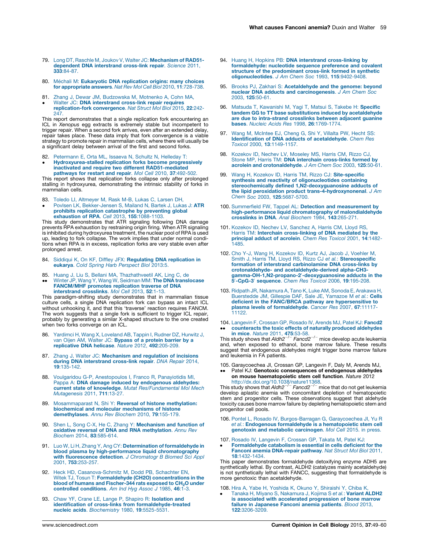- <span id="page-10-0"></span>79. Long DT, Raschle M, Joukov V, Walter JC: [Mechanism](http://refhub.elsevier.com/S0955-0674(15)00112-X/sbref1055) of RAD51 dependent DNA [interstrand](http://refhub.elsevier.com/S0955-0674(15)00112-X/sbref1055) cross-link repair. Science 2011, 333[:84-87.](http://refhub.elsevier.com/S0955-0674(15)00112-X/sbref1055)
- 80. Méchali M: [Eukaryotic](http://refhub.elsevier.com/S0955-0674(15)00112-X/sbref1060) DNA replication origins: many choices for [appropriate](http://refhub.elsevier.com/S0955-0674(15)00112-X/sbref1060) answers. Nat Rev Mol Cell Biol 2010, 11:728-738.
- 81. Zhang J, Dewar JM, [Budzowska](http://refhub.elsevier.com/S0955-0674(15)00112-X/sbref1065) M, Motnenko A, Cohn MA,  $\bullet$ Walter JC: DNA [interstrand](http://refhub.elsevier.com/S0955-0674(15)00112-X/sbref1065) cross-link repair requires [replication-fork](http://refhub.elsevier.com/S0955-0674(15)00112-X/sbref1065) convergence. Nat Struct Mol Biol 2015, 22:242- [247.](http://refhub.elsevier.com/S0955-0674(15)00112-X/sbref1065)

This report demonstrates that a single replication fork encountering an ICL in Xenopus egg extracts is extremely stable but incompetent to trigger repair. When a second fork arrives, even after an extended delay, repair takes place. These data imply that fork convergence is a viable strategy to promote repair in mammalian cells, where there will usually be a significant delay between arrival of the first and second forks.

82. [Petermann](http://refhub.elsevier.com/S0955-0674(15)00112-X/sbref1070) E, Orta ML, Issaeva N, Schultz N, Helleday T:

 $\bullet$ [Hydroxyurea-stalled](http://refhub.elsevier.com/S0955-0674(15)00112-X/sbref1070) replication forks become progressively inactivated and require two different [RAD51-mediated](http://refhub.elsevier.com/S0955-0674(15)00112-X/sbref1070) [pathways](http://refhub.elsevier.com/S0955-0674(15)00112-X/sbref1070) for restart and repair. Mol Cell 2010, 37:492-502.

This report shows that replication forks collapse only after prolonged stalling in hydroxyurea, demonstrating the intrinsic stability of forks in mammalian cells.

- 83. Toledo LI, [Altmeyer](http://refhub.elsevier.com/S0955-0674(15)00112-X/sbref1075) M, Rask M-B, Lukas C, Larsen DH,
- $\bullet$ Povlsen LK, [Bekker-Jensen](http://refhub.elsevier.com/S0955-0674(15)00112-X/sbref1075) S, Mailand N, Bartek J, Lukas J: ATR prohibits replication [catastrophe](http://refhub.elsevier.com/S0955-0674(15)00112-X/sbref1075) by preventing global

exhaustion of RPA. Cell 2013, 155[:1088-1103.](http://refhub.elsevier.com/S0955-0674(15)00112-X/sbref1075) This study demonstrates that ATR signaling following DNA damage prevents RPA exhaustion by restraining origin firing. When ATR signaling is inhibited during hydroxyurea treatment, the nuclear pool of RPA is used up, leading to fork collapse. The work implies that under normal conditions when RPA is in excess, replication forks are very stable even after prolonged arrest.

- 84. Siddiqui K, On KF, Diffley JFX: [Regulating](http://refhub.elsevier.com/S0955-0674(15)00112-X/sbref1080) DNA replication in eukarya. Cold Spring Harb [Perspect](http://refhub.elsevier.com/S0955-0674(15)00112-X/sbref1080) Biol 2013:5.
- 85.
- $\bullet\bullet$ Huang J, Liu S, Bellani MA, [Thazhathveetil](http://refhub.elsevier.com/S0955-0674(15)00112-X/sbref1085) AK, Ling C, de<br>Winter JP, Wang Y, Wang W, Seidman MM: **The DNA [translocase](http://refhub.elsevier.com/S0955-0674(15)00112-X/sbref1085)** [FANCM/MHF](http://refhub.elsevier.com/S0955-0674(15)00112-X/sbref1085) promotes replication traverse of DNA [interstrand](http://refhub.elsevier.com/S0955-0674(15)00112-X/sbref1085) crosslinks. Mol Cell 2013, 52:1-13.

This paradigm-shifting study demonstrates that in mammalian tissue culture cells, a single DNA replication fork can bypass an intact ICL without unhooking it, and that this 'traverse' reaction requires FANCM. The work suggests that a single fork is sufficient to trigger ICL repair, probably by generating a similar X-shaped structure to the one created when two forks converge on an ICL.

- Yardimci H, Wang X, [Loveland](http://refhub.elsevier.com/S0955-0674(15)00112-X/sbref1090) AB, Tappin I, Rudner DZ, Hurwitz J, van Oijen AM, Walter JC: [Bypass](http://refhub.elsevier.com/S0955-0674(15)00112-X/sbref1090) of a protein barrier by a [replicative](http://refhub.elsevier.com/S0955-0674(15)00112-X/sbref1090) DNA helicase. Nature 2012, 492:205-209.
- 87. Zhang J, Walter JC: [Mechanism](http://refhub.elsevier.com/S0955-0674(15)00112-X/sbref1095) and regulation of incisions during DNA [interstrand](http://refhub.elsevier.com/S0955-0674(15)00112-X/sbref1095) cross-link repair. DNA Repair 2014, 19[:135-142.](http://refhub.elsevier.com/S0955-0674(15)00112-X/sbref1095)
- 88. Voulgaridou G-P, [Anestopoulos](http://refhub.elsevier.com/S0955-0674(15)00112-X/sbref1100) I, Franco R, Panayiotidis MI, Pappa A: DNA damage induced by [endogenous](http://refhub.elsevier.com/S0955-0674(15)00112-X/sbref1100) aldehydes: current state of knowledge. Mutat [Res/Fundamental](http://refhub.elsevier.com/S0955-0674(15)00112-X/sbref1100) Mol Mech [Mutagenesis](http://refhub.elsevier.com/S0955-0674(15)00112-X/sbref1100) 2011, 711:13-27.
- 89. [Mosammaparast](http://refhub.elsevier.com/S0955-0674(15)00112-X/sbref1105) N, Shi Y: Reversal of histone methylation: biochemical and molecular [mechanisms](http://refhub.elsevier.com/S0955-0674(15)00112-X/sbref1105) of histone [demethylases](http://refhub.elsevier.com/S0955-0674(15)00112-X/sbref1105). Annu Rev Biochem 2010, 79:155-179.
- 90. Shen L, Song C-X, He C, Zhang Y: [Mechanism](http://refhub.elsevier.com/S0955-0674(15)00112-X/sbref1110) and function of oxidative reversal of DNA and RNA [methylation](http://refhub.elsevier.com/S0955-0674(15)00112-X/sbref1110). Annu Rev Biochem 2014, 83[:585-614.](http://refhub.elsevier.com/S0955-0674(15)00112-X/sbref1110)
- 91. Luo W, Li H, Zhang Y, Ang CY: [Determination](http://refhub.elsevier.com/S0955-0674(15)00112-X/sbref1115) of formaldehyde in blood plasma by [high-performance](http://refhub.elsevier.com/S0955-0674(15)00112-X/sbref1115) liquid chromatography with [fluorescence](http://refhub.elsevier.com/S0955-0674(15)00112-X/sbref1115) detection. J Chromatogr B Biomed Sci Appl 2001, 753[:253-257.](http://refhub.elsevier.com/S0955-0674(15)00112-X/sbref1115)
- 92. Heck HD, [Casanova-Schmitz](http://refhub.elsevier.com/S0955-0674(15)00112-X/sbref1120) M, Dodd PB, Schachter EN, Witek TJ, Tosun T: Formaldehyde (CH2O) [concentrations](http://refhub.elsevier.com/S0955-0674(15)00112-X/sbref1120) in the blood of humans and [Fischer-344](http://refhub.elsevier.com/S0955-0674(15)00112-X/sbref1120) rats exposed to CH<sub>2</sub>O [under](http://refhub.elsevier.com/S0955-0674(15)00112-X/sbref1120) controlled [conditions](http://refhub.elsevier.com/S0955-0674(15)00112-X/sbref1120). Am Ind Hyg Assoc J 1985, 46:1-3.
- 93. Chaw YF, Crane LE, Lange P, Shapiro R: [Isolation](http://refhub.elsevier.com/S0955-0674(15)00112-X/sbref1125) and identification of cross-links from [formaldehyde-treated](http://refhub.elsevier.com/S0955-0674(15)00112-X/sbref1125) nucleic acids. [Biochemistry](http://refhub.elsevier.com/S0955-0674(15)00112-X/sbref1125) 1980, 19:5525-5531.
- 94. Huang H, Hopkins PB: DNA interstrand [cross-linking](http://refhub.elsevier.com/S0955-0674(15)00112-X/sbref1130) by [formaldehyde:](http://refhub.elsevier.com/S0955-0674(15)00112-X/sbref1130) nucleotide sequence preference and covalent structure of the [predominant](http://refhub.elsevier.com/S0955-0674(15)00112-X/sbref1130) cross-link formed in synthetic [oligonucleotides](http://refhub.elsevier.com/S0955-0674(15)00112-X/sbref1130). J Am Chem Soc 1993, 115:9402-9408.
- 95. Brooks PJ, Zakhari S: [Acetaldehyde](http://refhub.elsevier.com/S0955-0674(15)00112-X/sbref1135) and the genome: beyond nuclear DNA adducts and [carcinogenesis](http://refhub.elsevier.com/S0955-0674(15)00112-X/sbref1135). J Am Chem Soc 2003, 125[:50-61.](http://refhub.elsevier.com/S0955-0674(15)00112-X/sbref1135)
- 96. Matsuda T, [Kawanishi](http://refhub.elsevier.com/S0955-0674(15)00112-X/sbref1140) M, Yagi T, Matsui S, Takebe H: Specific tandem GG to TT base substitutions induced by [acetaldehyde](http://refhub.elsevier.com/S0955-0674(15)00112-X/sbref1140) are due to [intra-strand](http://refhub.elsevier.com/S0955-0674(15)00112-X/sbref1140) crosslinks between adjacent guanine bases. Nucleic Acids Res 1998, 26[:1769-1774.](http://refhub.elsevier.com/S0955-0674(15)00112-X/sbref1140)
- 97. Wang M, [McIntee](http://refhub.elsevier.com/S0955-0674(15)00112-X/sbref1145) EJ, Cheng G, Shi Y, Villalta PW, Hecht SS: Identification of DNA adducts of [acetaldehyde](http://refhub.elsevier.com/S0955-0674(15)00112-X/sbref1145). Chem Res Toxicol 2000, 13[:1149-1157.](http://refhub.elsevier.com/S0955-0674(15)00112-X/sbref1145)
- 98. [Kozekov](http://refhub.elsevier.com/S0955-0674(15)00112-X/sbref1150) ID, Nechev LV, Moseley MS, Harris CM, Rizzo CJ,<br>Stone MP, Harris TM: **DNA interchain [cross-links](http://refhub.elsevier.com/S0955-0674(15)00112-X/sbref1150) formed by** acrolein and [crotonaldehyde](http://refhub.elsevier.com/S0955-0674(15)00112-X/sbref1150). J Am Chem Soc 2003, 125:50-61.
- 99. Wang H, Kozekov ID, Harris TM, Rizzo CJ: [Site-specific](http://refhub.elsevier.com/S0955-0674(15)00112-X/sbref1155) synthesis and reactivity of [oligonucleotides](http://refhub.elsevier.com/S0955-0674(15)00112-X/sbref1155) containing stereochemically defined [1,N2-deoxyguanosine](http://refhub.elsevier.com/S0955-0674(15)00112-X/sbref1155) adducts of the lipid peroxidation product [trans-4-hydroxynonenal](http://refhub.elsevier.com/S0955-0674(15)00112-X/sbref1155). J Am Chem Soc 2003, 125[:5687-5700.](http://refhub.elsevier.com/S0955-0674(15)00112-X/sbref1155)
- 100. Summerfield FW, Tappel AL: Detection and [measurement](http://refhub.elsevier.com/S0955-0674(15)00112-X/sbref1160) by [high-performance](http://refhub.elsevier.com/S0955-0674(15)00112-X/sbref1160) liquid chromatography of malondialdehyde [crosslinks](http://refhub.elsevier.com/S0955-0674(15)00112-X/sbref1160) in DNA. Anal Biochem 1984, 143:265-271.
- 101. Kozekov ID, Nechev LV, [Sanchez](http://refhub.elsevier.com/S0955-0674(15)00112-X/sbref1165) A, Harris CM, Lloyd RS, Harris TM: Interchain [cross-linking](http://refhub.elsevier.com/S0955-0674(15)00112-X/sbref1165) of DNA mediated by the<br>[principal](http://refhub.elsevier.com/S0955-0674(15)00112-X/sbref1165) adduct of acrolein. Chem Res Toxicol 2001, 14:1482-[1485.](http://refhub.elsevier.com/S0955-0674(15)00112-X/sbref1165)
- 102. Cho Y-J, Wang H, [Kozekov](http://refhub.elsevier.com/S0955-0674(15)00112-X/sbref1170) ID, Kurtz AJ, Jacob J, Voehler M, Smith J, Harris TM, Lloyd RS, Rizzo CJ et al.: [Stereospecific](http://refhub.elsevier.com/S0955-0674(15)00112-X/sbref1170) formation of interstrand [carbinolamine](http://refhub.elsevier.com/S0955-0674(15)00112-X/sbref1170) DNA cross-links by crotonaldehyde- and [acetaldehyde-derived](http://refhub.elsevier.com/S0955-0674(15)00112-X/sbref1170) alpha-CH3- gamma-OH-1, N2-propano-2'[-deoxyguanosine](http://refhub.elsevier.com/S0955-0674(15)00112-X/sbref1170) adducts in the [5](http://refhub.elsevier.com/S0955-0674(15)00112-X/sbref1170)'[-CpG-3](http://refhub.elsevier.com/S0955-0674(15)00112-X/sbref1170)' [sequence](http://refhub.elsevier.com/S0955-0674(15)00112-X/sbref1170). Chem Res Toxicol 2006, 19:195-208.
- 103. Ridpath JR, [Nakamura](http://refhub.elsevier.com/S0955-0674(15)00112-X/sbref1175) A, Tano K, Luke AM, Sonoda E, Arakawa H, [Buerstedde](http://refhub.elsevier.com/S0955-0674(15)00112-X/sbref1175) JM, Gillespie DAF, Sale JE, Yamazoe M et al.: Cells deficient in the FANC/BRCA pathway are [hypersensitive](http://refhub.elsevier.com/S0955-0674(15)00112-X/sbref1175) to plasma levels of [formaldehyde](http://refhub.elsevier.com/S0955-0674(15)00112-X/sbref1175). Cancer Res 2007, 67:11117- [11122.](http://refhub.elsevier.com/S0955-0674(15)00112-X/sbref1175)
- 104. [Langevin](http://refhub.elsevier.com/S0955-0674(15)00112-X/sbref1180) F, Crossan GP, Rosado IV, Arends MJ, Patel KJ: Fancd2 • counteracts the toxic effects of naturally produced aldehydes<br>in mice. Nature 2011, 475[:53-58.](http://refhub.elsevier.com/S0955-0674(15)00112-X/sbref1180)<br>This study shows that Aldh2<sup>-/-</sup> Fancd2<sup>-/-</sup> mice develop acute leukemia [counteracts](http://refhub.elsevier.com/S0955-0674(15)00112-X/sbref1180) the toxic effects of naturally produced aldehydes

and, when exposed to ethanol, bone marrow failure. These results suggest that endogenous aldehydes might trigger bone marrow failure and leukemia in FA patients.

105. Garaycoechea JI, Crossan GP, Langevin F, Daly M, Arends MJ, .. Patel KJ: Genotoxic consequences of endogenous aldehydes on mouse haematopoietic stem cell function. Nature 2012

[http://dx.doi.org/10.1038/nature11368.](http://dx.doi.org/10.1038/nature11368)<br>This study shows that *Aldh2<sup>-/ –</sup> Fancd2<sup>-/ –</sup> m*ice that do not get leukemia develop aplastic anemia with concomitant depletion of hematopoietic stem and progenitor cells. These observations suggest that aldehyde toxicity causes bone marrow failure by depleting hematopoietic stem and progenitor cell pools.

- 106. Pontel L, Rosado IV, [Burgos-Barragan](http://refhub.elsevier.com/S0955-0674(15)00112-X/sbref1190) G, Garaycoechea JI, Yu R et al.: Endogenous formaldehyde is a [hematopoietic](http://refhub.elsevier.com/S0955-0674(15)00112-X/sbref1190) stem cell genotoxin and metabolic [carcinogen](http://refhub.elsevier.com/S0955-0674(15)00112-X/sbref1190). Mol Cell 2015. in press.
- 107.
- $\bullet$ Rosado IV, [Langevin](http://refhub.elsevier.com/S0955-0674(15)00112-X/sbref1195) F, Crossan GP, Takata M, Patel KJ: [Formaldehyde](http://refhub.elsevier.com/S0955-0674(15)00112-X/sbref1195) catabolism is essential in cells deficient for the Fanconi anemia [DNA-repair](http://refhub.elsevier.com/S0955-0674(15)00112-X/sbref1195) pathway. Nat Struct Mol Biol 2011, 18[:1432-1434.](http://refhub.elsevier.com/S0955-0674(15)00112-X/sbref1195)

This paper demonstrates formaldehyde detoxifying enzyme ADH5 are synthetically lethal. By contrast, ALDH2 (catalyzes mainly acetaldehyde) is not synthetically lethal with FANCC, suggesting that formaldehyde is more genotoxic than acetaldehyde.

108.  $\bullet$ Hira A, Yabe H, Yoshida K, Okuno Y, [Shiraishi](http://refhub.elsevier.com/S0955-0674(15)00112-X/sbref1200) Y, Chiba K,<br>Tanaka H, Miyano S, [Nakamura](http://refhub.elsevier.com/S0955-0674(15)00112-X/sbref1200) J, Kojima S e*t al.*: **Variant ALDH2** is associated with accelerated [progression](http://refhub.elsevier.com/S0955-0674(15)00112-X/sbref1200) of bone marrow failure in [Japanese](http://refhub.elsevier.com/S0955-0674(15)00112-X/sbref1200) Fanconi anemia patients. Blood 2013, 122[:3206-3209.](http://refhub.elsevier.com/S0955-0674(15)00112-X/sbref1200)